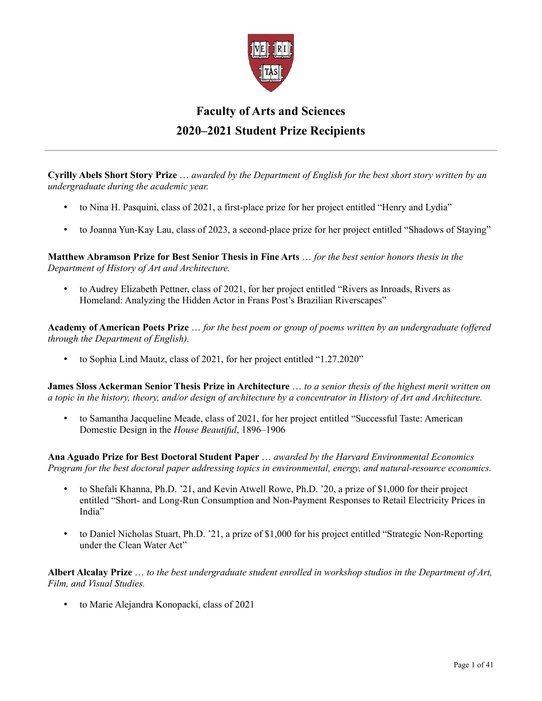

## **Faculty of Arts and Sciences 2020–2021 Student Prize Recipients**

**Cyrilly Abels Short Story Prize** … *awarded by the Department of English for the best short story written by an undergraduate during the academic year.*

- to Nina H. Pasquini, class of 2021, a first-place prize for her project entitled "Henry and Lydia"
- to Joanna Yun-Kay Lau, class of 2023, a second-place prize for her project entitled "Shadows of Staying"

**Matthew Abramson Prize for Best Senior Thesis in Fine Arts** … *for the best senior honors thesis in the Department of History of Art and Architecture.*

• to Audrey Elizabeth Pettner, class of 2021, for her project entitled "Rivers as Inroads, Rivers as Homeland: Analyzing the Hidden Actor in Frans Post's Brazilian Riverscapes"

**Academy of American Poets Prize** … *for the best poem or group of poems written by an undergraduate (offered through the Department of English).*

• to Sophia Lind Mautz, class of 2021, for her project entitled "1.27.2020"

**James Sloss Ackerman Senior Thesis Prize in Architecture** … *to a senior thesis of the highest merit written on a topic in the history, theory, and/or design of architecture by a concentrator in History of Art and Architecture.*

• to Samantha Jacqueline Meade, class of 2021, for her project entitled "Successful Taste: American Domestic Design in the *House Beautiful*, 1896–1906

**Ana Aguado Prize for Best Doctoral Student Paper** … *awarded by the Harvard Environmental Economics Program for the best doctoral paper addressing topics in environmental, energy, and natural-resource economics.*

- to Shefali Khanna, Ph.D. '21, and Kevin Atwell Rowe, Ph.D. '20, a prize of \$1,000 for their project entitled "Short- and Long-Run Consumption and Non-Payment Responses to Retail Electricity Prices in India"
- to Daniel Nicholas Stuart, Ph.D. '21, a prize of \$1,000 for his project entitled "Strategic Non-Reporting under the Clean Water Act"

**Albert Alcalay Prize** … *to the best undergraduate student enrolled in workshop studios in the Department of Art, Film, and Visual Studies.*

• to Marie Alejandra Konopacki, class of 2021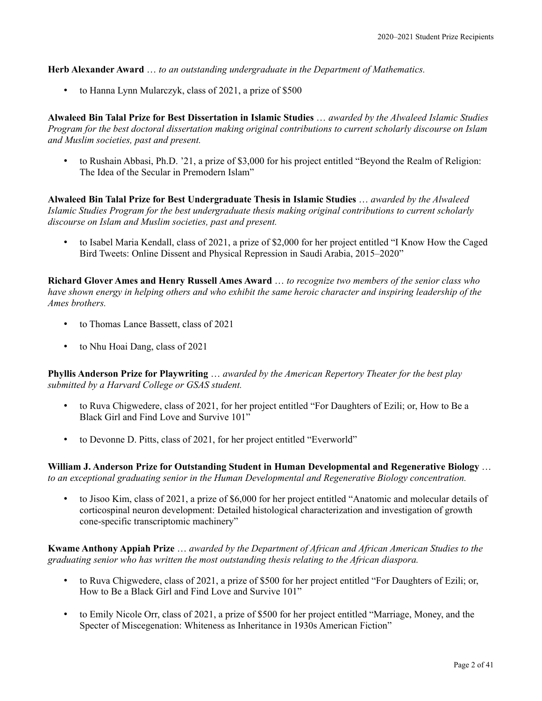**Herb Alexander Award** … *to an outstanding undergraduate in the Department of Mathematics.*

• to Hanna Lynn Mularczyk, class of 2021, a prize of \$500

**Alwaleed Bin Talal Prize for Best Dissertation in Islamic Studies** … *awarded by the Alwaleed Islamic Studies Program for the best doctoral dissertation making original contributions to current scholarly discourse on Islam and Muslim societies, past and present.*

• to Rushain Abbasi, Ph.D. '21, a prize of \$3,000 for his project entitled "Beyond the Realm of Religion: The Idea of the Secular in Premodern Islam"

**Alwaleed Bin Talal Prize for Best Undergraduate Thesis in Islamic Studies** … *awarded by the Alwaleed Islamic Studies Program for the best undergraduate thesis making original contributions to current scholarly discourse on Islam and Muslim societies, past and present.*

• to Isabel Maria Kendall, class of 2021, a prize of \$2,000 for her project entitled "I Know How the Caged Bird Tweets: Online Dissent and Physical Repression in Saudi Arabia, 2015–2020"

**Richard Glover Ames and Henry Russell Ames Award** … *to recognize two members of the senior class who have shown energy in helping others and who exhibit the same heroic character and inspiring leadership of the Ames brothers.*

- to Thomas Lance Bassett, class of 2021
- to Nhu Hoai Dang, class of 2021

**Phyllis Anderson Prize for Playwriting** … *awarded by the American Repertory Theater for the best play submitted by a Harvard College or GSAS student.*

- to Ruva Chigwedere, class of 2021, for her project entitled "For Daughters of Ezili; or, How to Be a Black Girl and Find Love and Survive 101"
- to Devonne D. Pitts, class of 2021, for her project entitled "Everworld"

**William J. Anderson Prize for Outstanding Student in Human Developmental and Regenerative Biology** … *to an exceptional graduating senior in the Human Developmental and Regenerative Biology concentration.*

• to Jisoo Kim, class of 2021, a prize of \$6,000 for her project entitled "Anatomic and molecular details of corticospinal neuron development: Detailed histological characterization and investigation of growth cone-specific transcriptomic machinery"

**Kwame Anthony Appiah Prize** … *awarded by the Department of African and African American Studies to the graduating senior who has written the most outstanding thesis relating to the African diaspora.*

- to Ruva Chigwedere, class of 2021, a prize of \$500 for her project entitled "For Daughters of Ezili; or, How to Be a Black Girl and Find Love and Survive 101"
- to Emily Nicole Orr, class of 2021, a prize of \$500 for her project entitled "Marriage, Money, and the Specter of Miscegenation: Whiteness as Inheritance in 1930s American Fiction"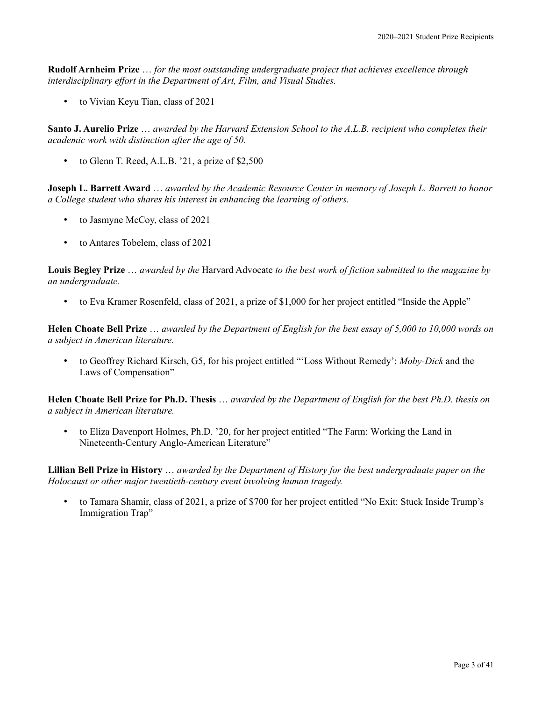**Rudolf Arnheim Prize** … *for the most outstanding undergraduate project that achieves excellence through interdisciplinary effort in the Department of Art, Film, and Visual Studies.*

• to Vivian Keyu Tian, class of 2021

**Santo J. Aurelio Prize** … *awarded by the Harvard Extension School to the A.L.B. recipient who completes their academic work with distinction after the age of 50.*

• to Glenn T. Reed, A.L.B. '21, a prize of \$2,500

**Joseph L. Barrett Award** … *awarded by the Academic Resource Center in memory of Joseph L. Barrett to honor a College student who shares his interest in enhancing the learning of others.*

- to Jasmyne McCoy, class of 2021
- to Antares Tobelem, class of 2021

**Louis Begley Prize** … *awarded by the* Harvard Advocate *to the best work of fiction submitted to the magazine by an undergraduate.*

• to Eva Kramer Rosenfeld, class of 2021, a prize of \$1,000 for her project entitled "Inside the Apple"

**Helen Choate Bell Prize** … *awarded by the Department of English for the best essay of 5,000 to 10,000 words on a subject in American literature.*

• to Geoffrey Richard Kirsch, G5, for his project entitled "'Loss Without Remedy': *Moby-Dick* and the Laws of Compensation"

**Helen Choate Bell Prize for Ph.D. Thesis** … *awarded by the Department of English for the best Ph.D. thesis on a subject in American literature.*

• to Eliza Davenport Holmes, Ph.D. '20, for her project entitled "The Farm: Working the Land in Nineteenth-Century Anglo-American Literature"

**Lillian Bell Prize in History** … *awarded by the Department of History for the best undergraduate paper on the Holocaust or other major twentieth-century event involving human tragedy.*

• to Tamara Shamir, class of 2021, a prize of \$700 for her project entitled "No Exit: Stuck Inside Trump's Immigration Trap"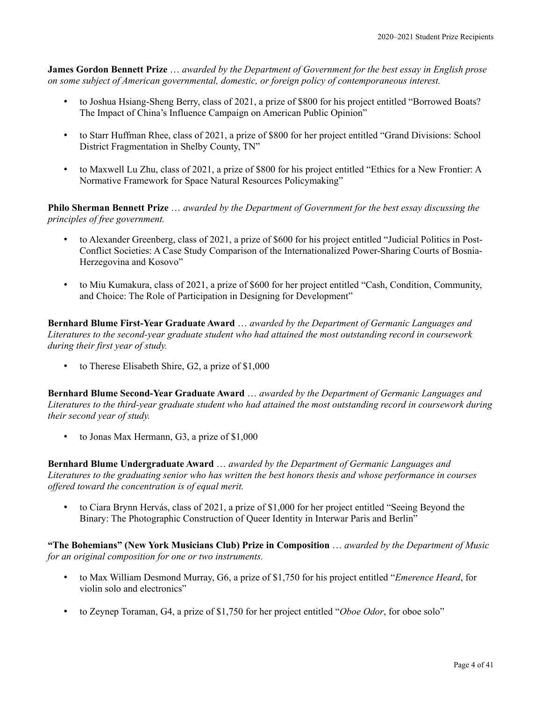**James Gordon Bennett Prize** … *awarded by the Department of Government for the best essay in English prose on some subject of American governmental, domestic, or foreign policy of contemporaneous interest.*

- to Joshua Hsiang-Sheng Berry, class of 2021, a prize of \$800 for his project entitled "Borrowed Boats? The Impact of China's Influence Campaign on American Public Opinion"
- to Starr Huffman Rhee, class of 2021, a prize of \$800 for her project entitled "Grand Divisions: School District Fragmentation in Shelby County, TN"
- to Maxwell Lu Zhu, class of 2021, a prize of \$800 for his project entitled "Ethics for a New Frontier: A Normative Framework for Space Natural Resources Policymaking"

**Philo Sherman Bennett Prize** … *awarded by the Department of Government for the best essay discussing the principles of free government.*

- to Alexander Greenberg, class of 2021, a prize of \$600 for his project entitled "Judicial Politics in Post-Conflict Societies: A Case Study Comparison of the Internationalized Power-Sharing Courts of Bosnia-Herzegovina and Kosovo"
- to Miu Kumakura, class of 2021, a prize of \$600 for her project entitled "Cash, Condition, Community, and Choice: The Role of Participation in Designing for Development"

**Bernhard Blume First-Year Graduate Award** … *awarded by the Department of Germanic Languages and Literatures to the second-year graduate student who had attained the most outstanding record in coursework during their first year of study.*

• to Therese Elisabeth Shire, G2, a prize of \$1,000

**Bernhard Blume Second-Year Graduate Award** … *awarded by the Department of Germanic Languages and Literatures to the third-year graduate student who had attained the most outstanding record in coursework during their second year of study.*

• to Jonas Max Hermann, G3, a prize of \$1,000

**Bernhard Blume Undergraduate Award** … *awarded by the Department of Germanic Languages and Literatures to the graduating senior who has written the best honors thesis and whose performance in courses offered toward the concentration is of equal merit.*

• to Ciara Brynn Hervás, class of 2021, a prize of \$1,000 for her project entitled "Seeing Beyond the Binary: The Photographic Construction of Queer Identity in Interwar Paris and Berlin"

**"The Bohemians" (New York Musicians Club) Prize in Composition** … *awarded by the Department of Music for an original composition for one or two instruments.*

- to Max William Desmond Murray, G6, a prize of \$1,750 for his project entitled "*Emerence Heard*, for violin solo and electronics"
- to Zeynep Toraman, G4, a prize of \$1,750 for her project entitled "*Oboe Odor*, for oboe solo"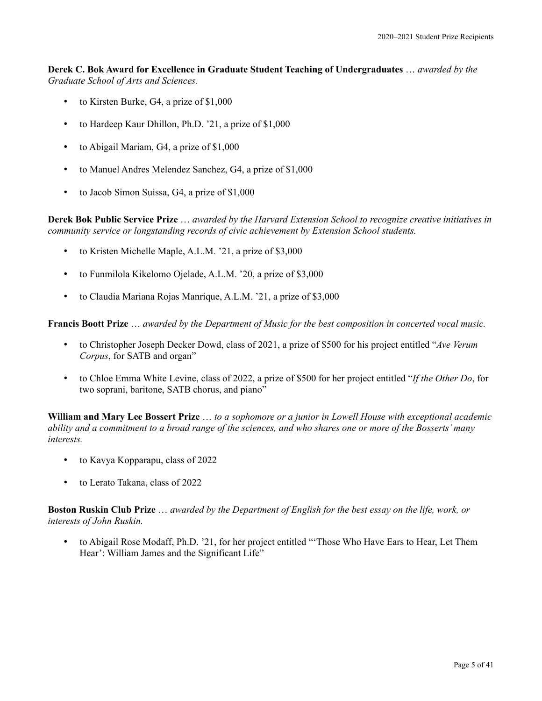**Derek C. Bok Award for Excellence in Graduate Student Teaching of Undergraduates** … *awarded by the Graduate School of Arts and Sciences.*

- to Kirsten Burke, G4, a prize of \$1,000
- to Hardeep Kaur Dhillon, Ph.D. '21, a prize of \$1,000
- to Abigail Mariam, G4, a prize of \$1,000
- to Manuel Andres Melendez Sanchez, G4, a prize of \$1,000
- to Jacob Simon Suissa, G4, a prize of \$1,000

**Derek Bok Public Service Prize** … *awarded by the Harvard Extension School to recognize creative initiatives in community service or longstanding records of civic achievement by Extension School students.*

- to Kristen Michelle Maple, A.L.M. '21, a prize of \$3,000
- to Funmilola Kikelomo Ojelade, A.L.M. '20, a prize of \$3,000
- to Claudia Mariana Rojas Manrique, A.L.M. '21, a prize of \$3,000

**Francis Boott Prize** … *awarded by the Department of Music for the best composition in concerted vocal music.*

- to Christopher Joseph Decker Dowd, class of 2021, a prize of \$500 for his project entitled "*Ave Verum Corpus*, for SATB and organ"
- to Chloe Emma White Levine, class of 2022, a prize of \$500 for her project entitled "*If the Other Do*, for two soprani, baritone, SATB chorus, and piano"

**William and Mary Lee Bossert Prize** … *to a sophomore or a junior in Lowell House with exceptional academic ability and a commitment to a broad range of the sciences, and who shares one or more of the Bosserts' many interests.*

- to Kavya Kopparapu, class of 2022
- to Lerato Takana, class of 2022

**Boston Ruskin Club Prize** … *awarded by the Department of English for the best essay on the life, work, or interests of John Ruskin.*

• to Abigail Rose Modaff, Ph.D. '21, for her project entitled "'Those Who Have Ears to Hear, Let Them Hear': William James and the Significant Life"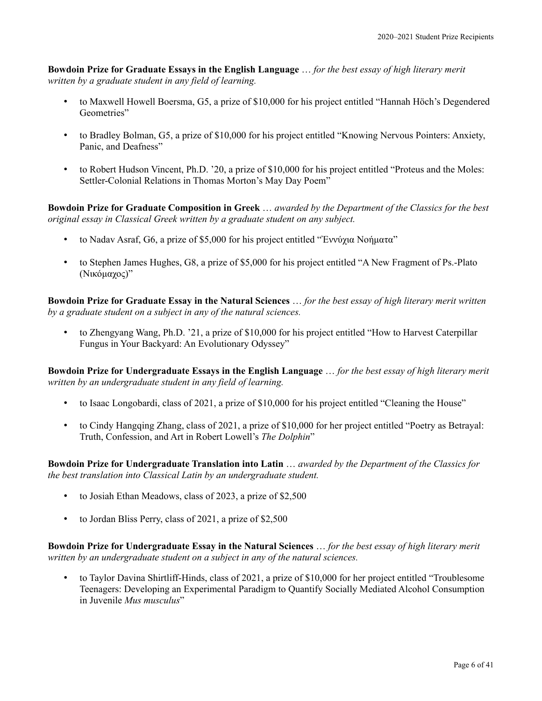**Bowdoin Prize for Graduate Essays in the English Language** … *for the best essay of high literary merit written by a graduate student in any field of learning.*

- to Maxwell Howell Boersma, G5, a prize of \$10,000 for his project entitled "Hannah Höch's Degendered Geometries"
- to Bradley Bolman, G5, a prize of \$10,000 for his project entitled "Knowing Nervous Pointers: Anxiety, Panic, and Deafness"
- to Robert Hudson Vincent, Ph.D. '20, a prize of \$10,000 for his project entitled "Proteus and the Moles: Settler-Colonial Relations in Thomas Morton's May Day Poem"

**Bowdoin Prize for Graduate Composition in Greek** … *awarded by the Department of the Classics for the best original essay in Classical Greek written by a graduate student on any subject.*

- to Nadav Asraf, G6, a prize of \$5,000 for his project entitled "Ἐννύχια Νοήματα"
- to Stephen James Hughes, G8, a prize of \$5,000 for his project entitled "A New Fragment of Ps.-Plato (Νικόμαχος)"

**Bowdoin Prize for Graduate Essay in the Natural Sciences** … *for the best essay of high literary merit written by a graduate student on a subject in any of the natural sciences.*

• to Zhengyang Wang, Ph.D. '21, a prize of \$10,000 for his project entitled "How to Harvest Caterpillar Fungus in Your Backyard: An Evolutionary Odyssey"

**Bowdoin Prize for Undergraduate Essays in the English Language** … *for the best essay of high literary merit written by an undergraduate student in any field of learning.*

- to Isaac Longobardi, class of 2021, a prize of \$10,000 for his project entitled "Cleaning the House"
- to Cindy Hangqing Zhang, class of 2021, a prize of \$10,000 for her project entitled "Poetry as Betrayal: Truth, Confession, and Art in Robert Lowell's *The Dolphin*"

**Bowdoin Prize for Undergraduate Translation into Latin** … *awarded by the Department of the Classics for the best translation into Classical Latin by an undergraduate student.*

- to Josiah Ethan Meadows, class of 2023, a prize of \$2,500
- to Jordan Bliss Perry, class of 2021, a prize of \$2,500

**Bowdoin Prize for Undergraduate Essay in the Natural Sciences** … *for the best essay of high literary merit written by an undergraduate student on a subject in any of the natural sciences.*

• to Taylor Davina Shirtliff-Hinds, class of 2021, a prize of \$10,000 for her project entitled "Troublesome Teenagers: Developing an Experimental Paradigm to Quantify Socially Mediated Alcohol Consumption in Juvenile *Mus musculus*"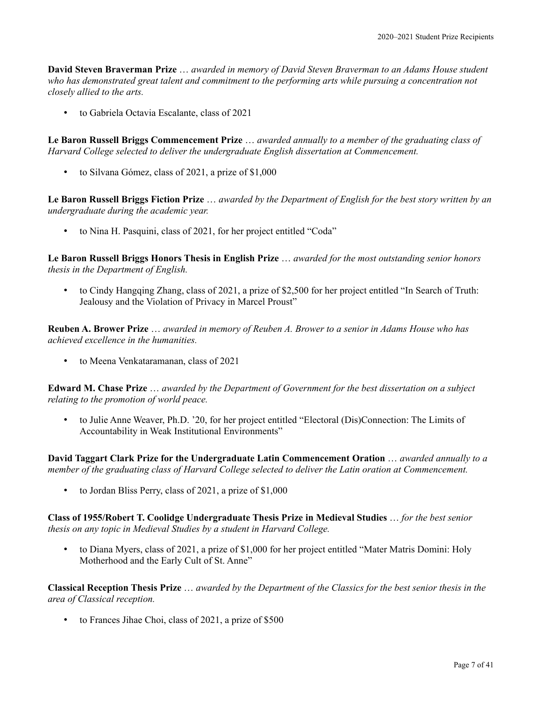**David Steven Braverman Prize** … *awarded in memory of David Steven Braverman to an Adams House student who has demonstrated great talent and commitment to the performing arts while pursuing a concentration not closely allied to the arts.*

• to Gabriela Octavia Escalante, class of 2021

**Le Baron Russell Briggs Commencement Prize** … *awarded annually to a member of the graduating class of Harvard College selected to deliver the undergraduate English dissertation at Commencement.*

• to Silvana Gómez, class of 2021, a prize of \$1,000

**Le Baron Russell Briggs Fiction Prize** … *awarded by the Department of English for the best story written by an undergraduate during the academic year.*

• to Nina H. Pasquini, class of 2021, for her project entitled "Coda"

**Le Baron Russell Briggs Honors Thesis in English Prize** … *awarded for the most outstanding senior honors thesis in the Department of English.*

• to Cindy Hangqing Zhang, class of 2021, a prize of \$2,500 for her project entitled "In Search of Truth: Jealousy and the Violation of Privacy in Marcel Proust"

**Reuben A. Brower Prize** … *awarded in memory of Reuben A. Brower to a senior in Adams House who has achieved excellence in the humanities.*

• to Meena Venkataramanan, class of 2021

**Edward M. Chase Prize** … *awarded by the Department of Government for the best dissertation on a subject relating to the promotion of world peace.*

• to Julie Anne Weaver, Ph.D. '20, for her project entitled "Electoral (Dis)Connection: The Limits of Accountability in Weak Institutional Environments"

**David Taggart Clark Prize for the Undergraduate Latin Commencement Oration** … *awarded annually to a member of the graduating class of Harvard College selected to deliver the Latin oration at Commencement.*

• to Jordan Bliss Perry, class of 2021, a prize of \$1,000

**Class of 1955/Robert T. Coolidge Undergraduate Thesis Prize in Medieval Studies** … *for the best senior thesis on any topic in Medieval Studies by a student in Harvard College.*

• to Diana Myers, class of 2021, a prize of \$1,000 for her project entitled "Mater Matris Domini: Holy Motherhood and the Early Cult of St. Anne"

**Classical Reception Thesis Prize** … *awarded by the Department of the Classics for the best senior thesis in the area of Classical reception.*

• to Frances Jihae Choi, class of 2021, a prize of \$500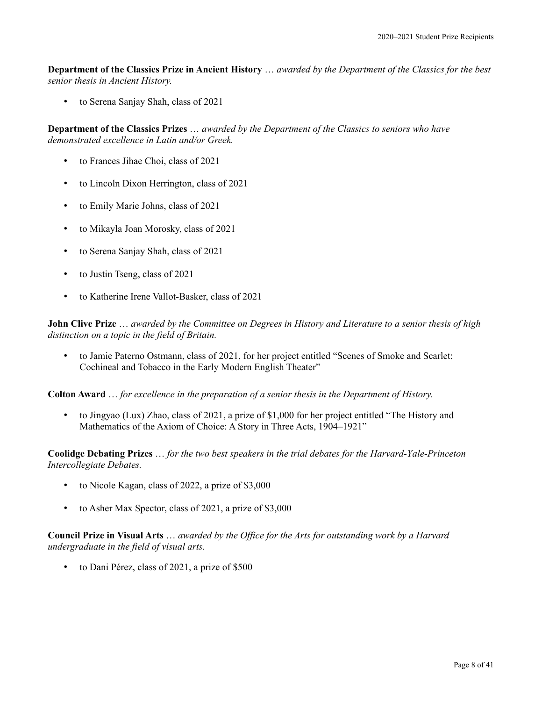**Department of the Classics Prize in Ancient History** … *awarded by the Department of the Classics for the best senior thesis in Ancient History.*

• to Serena Sanjay Shah, class of 2021

**Department of the Classics Prizes** … *awarded by the Department of the Classics to seniors who have demonstrated excellence in Latin and/or Greek.*

- to Frances Jihae Choi, class of 2021
- to Lincoln Dixon Herrington, class of 2021
- to Emily Marie Johns, class of 2021
- to Mikayla Joan Morosky, class of 2021
- to Serena Sanjay Shah, class of 2021
- to Justin Tseng, class of 2021
- to Katherine Irene Vallot-Basker, class of 2021

**John Clive Prize** … *awarded by the Committee on Degrees in History and Literature to a senior thesis of high distinction on a topic in the field of Britain.*

• to Jamie Paterno Ostmann, class of 2021, for her project entitled "Scenes of Smoke and Scarlet: Cochineal and Tobacco in the Early Modern English Theater"

**Colton Award** … *for excellence in the preparation of a senior thesis in the Department of History.*

• to Jingyao (Lux) Zhao, class of 2021, a prize of \$1,000 for her project entitled "The History and Mathematics of the Axiom of Choice: A Story in Three Acts, 1904–1921"

**Coolidge Debating Prizes** … *for the two best speakers in the trial debates for the Harvard-Yale-Princeton Intercollegiate Debates.*

- to Nicole Kagan, class of 2022, a prize of \$3,000
- to Asher Max Spector, class of 2021, a prize of \$3,000

**Council Prize in Visual Arts** … *awarded by the Office for the Arts for outstanding work by a Harvard undergraduate in the field of visual arts.*

• to Dani Pérez, class of 2021, a prize of \$500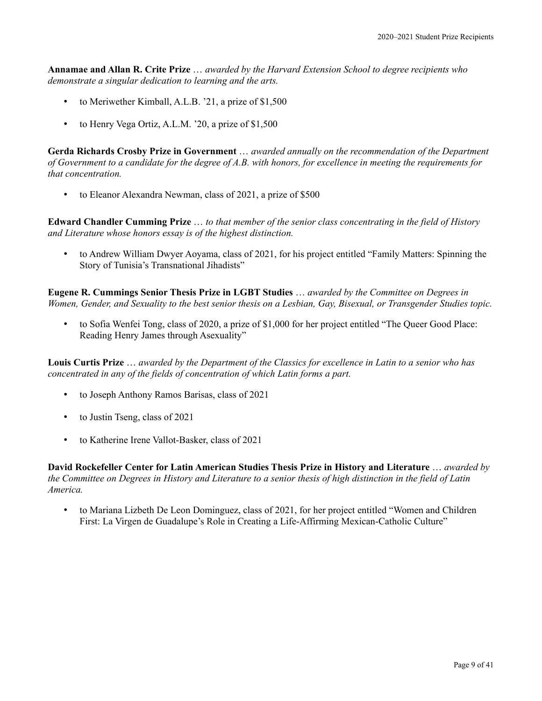**Annamae and Allan R. Crite Prize** … *awarded by the Harvard Extension School to degree recipients who demonstrate a singular dedication to learning and the arts.*

- to Meriwether Kimball, A.L.B. '21, a prize of \$1,500
- to Henry Vega Ortiz, A.L.M. '20, a prize of \$1,500

**Gerda Richards Crosby Prize in Government** … *awarded annually on the recommendation of the Department of Government to a candidate for the degree of A.B. with honors, for excellence in meeting the requirements for that concentration.*

to Eleanor Alexandra Newman, class of 2021, a prize of \$500

**Edward Chandler Cumming Prize** … *to that member of the senior class concentrating in the field of History and Literature whose honors essay is of the highest distinction.*

• to Andrew William Dwyer Aoyama, class of 2021, for his project entitled "Family Matters: Spinning the Story of Tunisia's Transnational Jihadists"

**Eugene R. Cummings Senior Thesis Prize in LGBT Studies** … *awarded by the Committee on Degrees in Women, Gender, and Sexuality to the best senior thesis on a Lesbian, Gay, Bisexual, or Transgender Studies topic.*

• to Sofia Wenfei Tong, class of 2020, a prize of \$1,000 for her project entitled "The Queer Good Place: Reading Henry James through Asexuality"

**Louis Curtis Prize** … *awarded by the Department of the Classics for excellence in Latin to a senior who has concentrated in any of the fields of concentration of which Latin forms a part.*

- to Joseph Anthony Ramos Barisas, class of 2021
- to Justin Tseng, class of 2021
- to Katherine Irene Vallot-Basker, class of 2021

**David Rockefeller Center for Latin American Studies Thesis Prize in History and Literature** … *awarded by the Committee on Degrees in History and Literature to a senior thesis of high distinction in the field of Latin America.*

• to Mariana Lizbeth De Leon Dominguez, class of 2021, for her project entitled "Women and Children First: La Virgen de Guadalupe's Role in Creating a Life-Affirming Mexican-Catholic Culture"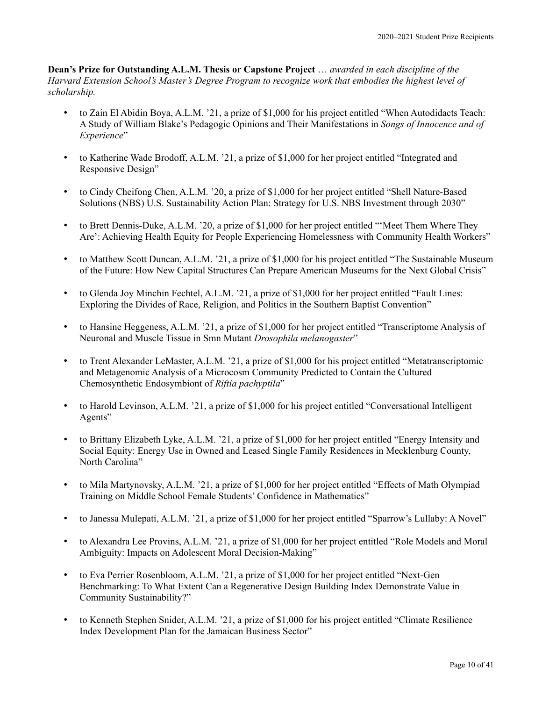**Dean's Prize for Outstanding A.L.M. Thesis or Capstone Project** … *awarded in each discipline of the Harvard Extension School's Master's Degree Program to recognize work that embodies the highest level of scholarship.*

- to Zain El Abidin Boya, A.L.M. '21, a prize of \$1,000 for his project entitled "When Autodidacts Teach: A Study of William Blake's Pedagogic Opinions and Their Manifestations in *Songs of Innocence and of Experience*"
- to Katherine Wade Brodoff, A.L.M. '21, a prize of \$1,000 for her project entitled "Integrated and Responsive Design"
- to Cindy Cheifong Chen, A.L.M. '20, a prize of \$1,000 for her project entitled "Shell Nature-Based Solutions (NBS) U.S. Sustainability Action Plan: Strategy for U.S. NBS Investment through 2030"
- to Brett Dennis-Duke, A.L.M. '20, a prize of \$1,000 for her project entitled "'Meet Them Where They Are': Achieving Health Equity for People Experiencing Homelessness with Community Health Workers"
- to Matthew Scott Duncan, A.L.M. '21, a prize of \$1,000 for his project entitled "The Sustainable Museum of the Future: How New Capital Structures Can Prepare American Museums for the Next Global Crisis"
- to Glenda Joy Minchin Fechtel, A.L.M. '21, a prize of \$1,000 for her project entitled "Fault Lines: Exploring the Divides of Race, Religion, and Politics in the Southern Baptist Convention"
- to Hansine Heggeness, A.L.M. '21, a prize of \$1,000 for her project entitled "Transcriptome Analysis of Neuronal and Muscle Tissue in Smn Mutant *Drosophila melanogaster*"
- to Trent Alexander LeMaster, A.L.M. '21, a prize of \$1,000 for his project entitled "Metatranscriptomic and Metagenomic Analysis of a Microcosm Community Predicted to Contain the Cultured Chemosynthetic Endosymbiont of *Riftia pachyptila*"
- to Harold Levinson, A.L.M. '21, a prize of \$1,000 for his project entitled "Conversational Intelligent Agents"
- to Brittany Elizabeth Lyke, A.L.M. '21, a prize of \$1,000 for her project entitled "Energy Intensity and Social Equity: Energy Use in Owned and Leased Single Family Residences in Mecklenburg County, North Carolina"
- to Mila Martynovsky, A.L.M. '21, a prize of \$1,000 for her project entitled "Effects of Math Olympiad Training on Middle School Female Students' Confidence in Mathematics"
- to Janessa Mulepati, A.L.M. '21, a prize of \$1,000 for her project entitled "Sparrow's Lullaby: A Novel"
- to Alexandra Lee Provins, A.L.M. '21, a prize of \$1,000 for her project entitled "Role Models and Moral Ambiguity: Impacts on Adolescent Moral Decision-Making"
- to Eva Perrier Rosenbloom, A.L.M. '21, a prize of \$1,000 for her project entitled "Next-Gen Benchmarking: To What Extent Can a Regenerative Design Building Index Demonstrate Value in Community Sustainability?"
- to Kenneth Stephen Snider, A.L.M. '21, a prize of \$1,000 for his project entitled "Climate Resilience Index Development Plan for the Jamaican Business Sector"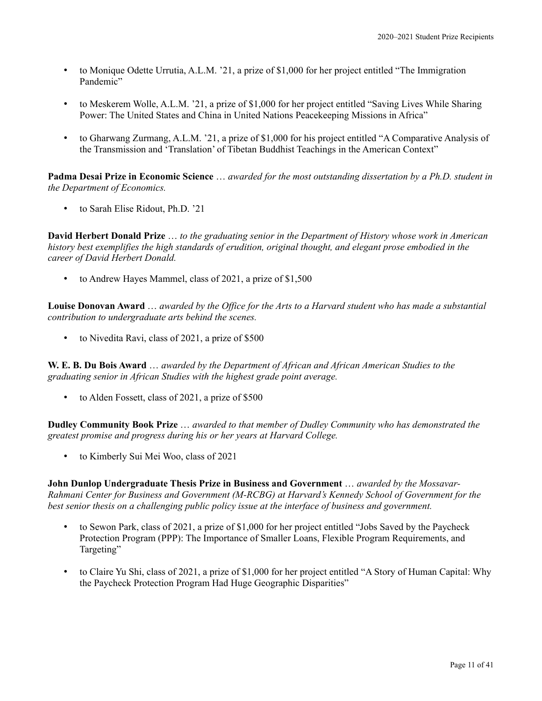- to Monique Odette Urrutia, A.L.M. '21, a prize of \$1,000 for her project entitled "The Immigration Pandemic"
- to Meskerem Wolle, A.L.M. '21, a prize of \$1,000 for her project entitled "Saving Lives While Sharing Power: The United States and China in United Nations Peacekeeping Missions in Africa"
- to Gharwang Zurmang, A.L.M. '21, a prize of \$1,000 for his project entitled "A Comparative Analysis of the Transmission and 'Translation' of Tibetan Buddhist Teachings in the American Context"

**Padma Desai Prize in Economic Science** … *awarded for the most outstanding dissertation by a Ph.D. student in the Department of Economics.*

• to Sarah Elise Ridout, Ph.D. '21

**David Herbert Donald Prize** … *to the graduating senior in the Department of History whose work in American history best exemplifies the high standards of erudition, original thought, and elegant prose embodied in the career of David Herbert Donald.*

• to Andrew Hayes Mammel, class of 2021, a prize of \$1,500

**Louise Donovan Award** … *awarded by the Office for the Arts to a Harvard student who has made a substantial contribution to undergraduate arts behind the scenes.*

• to Nivedita Ravi, class of 2021, a prize of \$500

**W. E. B. Du Bois Award** … *awarded by the Department of African and African American Studies to the graduating senior in African Studies with the highest grade point average.*

• to Alden Fossett, class of 2021, a prize of \$500

**Dudley Community Book Prize** … *awarded to that member of Dudley Community who has demonstrated the greatest promise and progress during his or her years at Harvard College.*

• to Kimberly Sui Mei Woo, class of 2021

**John Dunlop Undergraduate Thesis Prize in Business and Government** … *awarded by the Mossavar-Rahmani Center for Business and Government (M-RCBG) at Harvard's Kennedy School of Government for the best senior thesis on a challenging public policy issue at the interface of business and government.*

- to Sewon Park, class of 2021, a prize of \$1,000 for her project entitled "Jobs Saved by the Paycheck Protection Program (PPP): The Importance of Smaller Loans, Flexible Program Requirements, and Targeting"
- to Claire Yu Shi, class of 2021, a prize of \$1,000 for her project entitled "A Story of Human Capital: Why the Paycheck Protection Program Had Huge Geographic Disparities"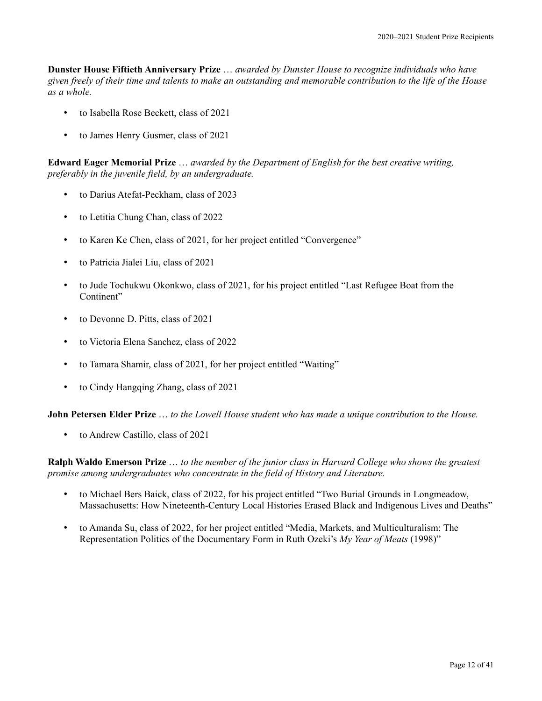**Dunster House Fiftieth Anniversary Prize** … *awarded by Dunster House to recognize individuals who have given freely of their time and talents to make an outstanding and memorable contribution to the life of the House as a whole.*

- to Isabella Rose Beckett, class of 2021
- to James Henry Gusmer, class of 2021

**Edward Eager Memorial Prize** … *awarded by the Department of English for the best creative writing, preferably in the juvenile field, by an undergraduate.*

- to Darius Atefat-Peckham, class of 2023
- to Letitia Chung Chan, class of 2022
- to Karen Ke Chen, class of 2021, for her project entitled "Convergence"
- to Patricia Jialei Liu, class of 2021
- to Jude Tochukwu Okonkwo, class of 2021, for his project entitled "Last Refugee Boat from the Continent"
- to Devonne D. Pitts, class of 2021
- to Victoria Elena Sanchez, class of 2022
- to Tamara Shamir, class of 2021, for her project entitled "Waiting"
- to Cindy Hangqing Zhang, class of 2021

**John Petersen Elder Prize** … *to the Lowell House student who has made a unique contribution to the House.*

• to Andrew Castillo, class of 2021

**Ralph Waldo Emerson Prize** … *to the member of the junior class in Harvard College who shows the greatest promise among undergraduates who concentrate in the field of History and Literature.*

- to Michael Bers Baick, class of 2022, for his project entitled "Two Burial Grounds in Longmeadow, Massachusetts: How Nineteenth-Century Local Histories Erased Black and Indigenous Lives and Deaths"
- to Amanda Su, class of 2022, for her project entitled "Media, Markets, and Multiculturalism: The Representation Politics of the Documentary Form in Ruth Ozeki's *My Year of Meats* (1998)"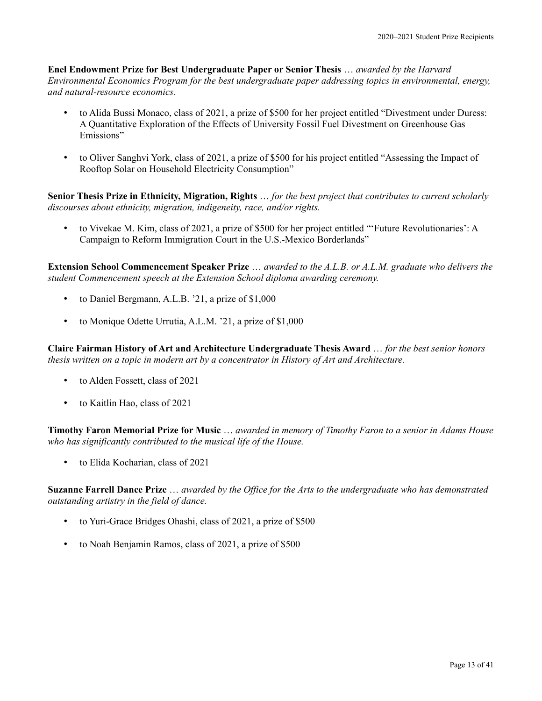**Enel Endowment Prize for Best Undergraduate Paper or Senior Thesis** … *awarded by the Harvard Environmental Economics Program for the best undergraduate paper addressing topics in environmental, energy, and natural-resource economics.*

- to Alida Bussi Monaco, class of 2021, a prize of \$500 for her project entitled "Divestment under Duress: A Quantitative Exploration of the Effects of University Fossil Fuel Divestment on Greenhouse Gas Emissions"
- to Oliver Sanghvi York, class of 2021, a prize of \$500 for his project entitled "Assessing the Impact of Rooftop Solar on Household Electricity Consumption"

**Senior Thesis Prize in Ethnicity, Migration, Rights** … *for the best project that contributes to current scholarly discourses about ethnicity, migration, indigeneity, race, and/or rights.*

• to Vivekae M. Kim, class of 2021, a prize of \$500 for her project entitled "'Future Revolutionaries': A Campaign to Reform Immigration Court in the U.S.-Mexico Borderlands"

**Extension School Commencement Speaker Prize** … *awarded to the A.L.B. or A.L.M. graduate who delivers the student Commencement speech at the Extension School diploma awarding ceremony.*

- to Daniel Bergmann, A.L.B. '21, a prize of \$1,000
- to Monique Odette Urrutia, A.L.M. '21, a prize of \$1,000

**Claire Fairman History of Art and Architecture Undergraduate Thesis Award** … *for the best senior honors thesis written on a topic in modern art by a concentrator in History of Art and Architecture.*

- to Alden Fossett, class of 2021
- to Kaitlin Hao, class of 2021

**Timothy Faron Memorial Prize for Music** … *awarded in memory of Timothy Faron to a senior in Adams House who has significantly contributed to the musical life of the House.*

• to Elida Kocharian, class of 2021

**Suzanne Farrell Dance Prize** … *awarded by the Office for the Arts to the undergraduate who has demonstrated outstanding artistry in the field of dance.*

- to Yuri-Grace Bridges Ohashi, class of 2021, a prize of \$500
- to Noah Benjamin Ramos, class of 2021, a prize of \$500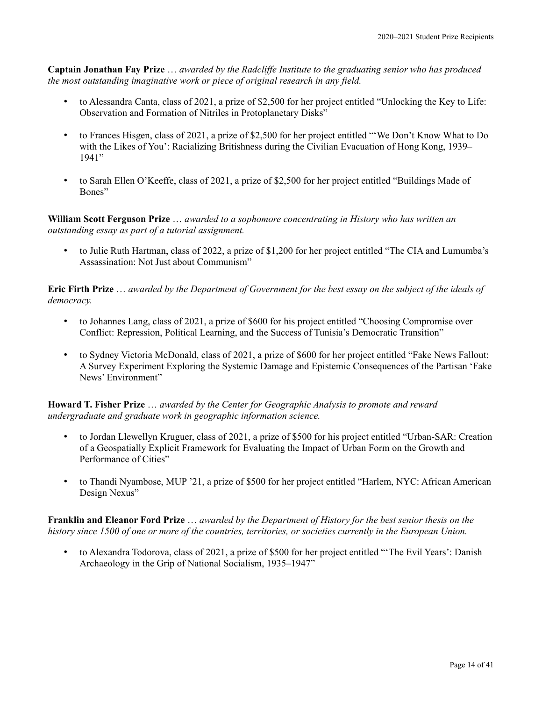**Captain Jonathan Fay Prize** … *awarded by the Radcliffe Institute to the graduating senior who has produced the most outstanding imaginative work or piece of original research in any field.*

- to Alessandra Canta, class of 2021, a prize of \$2,500 for her project entitled "Unlocking the Key to Life: Observation and Formation of Nitriles in Protoplanetary Disks"
- to Frances Hisgen, class of 2021, a prize of \$2,500 for her project entitled "'We Don't Know What to Do with the Likes of You': Racializing Britishness during the Civilian Evacuation of Hong Kong, 1939– 1941"
- to Sarah Ellen O'Keeffe, class of 2021, a prize of \$2,500 for her project entitled "Buildings Made of Bones"

**William Scott Ferguson Prize** … *awarded to a sophomore concentrating in History who has written an outstanding essay as part of a tutorial assignment.*

• to Julie Ruth Hartman, class of 2022, a prize of \$1,200 for her project entitled "The CIA and Lumumba's Assassination: Not Just about Communism"

**Eric Firth Prize** … *awarded by the Department of Government for the best essay on the subject of the ideals of democracy.*

- to Johannes Lang, class of 2021, a prize of \$600 for his project entitled "Choosing Compromise over Conflict: Repression, Political Learning, and the Success of Tunisia's Democratic Transition"
- to Sydney Victoria McDonald, class of 2021, a prize of \$600 for her project entitled "Fake News Fallout: A Survey Experiment Exploring the Systemic Damage and Epistemic Consequences of the Partisan 'Fake News' Environment"

**Howard T. Fisher Prize** … *awarded by the Center for Geographic Analysis to promote and reward undergraduate and graduate work in geographic information science.*

- to Jordan Llewellyn Kruguer, class of 2021, a prize of \$500 for his project entitled "Urban-SAR: Creation of a Geospatially Explicit Framework for Evaluating the Impact of Urban Form on the Growth and Performance of Cities"
- to Thandi Nyambose, MUP '21, a prize of \$500 for her project entitled "Harlem, NYC: African American Design Nexus"

**Franklin and Eleanor Ford Prize** … *awarded by the Department of History for the best senior thesis on the history since 1500 of one or more of the countries, territories, or societies currently in the European Union.*

• to Alexandra Todorova, class of 2021, a prize of \$500 for her project entitled "'The Evil Years': Danish Archaeology in the Grip of National Socialism, 1935–1947"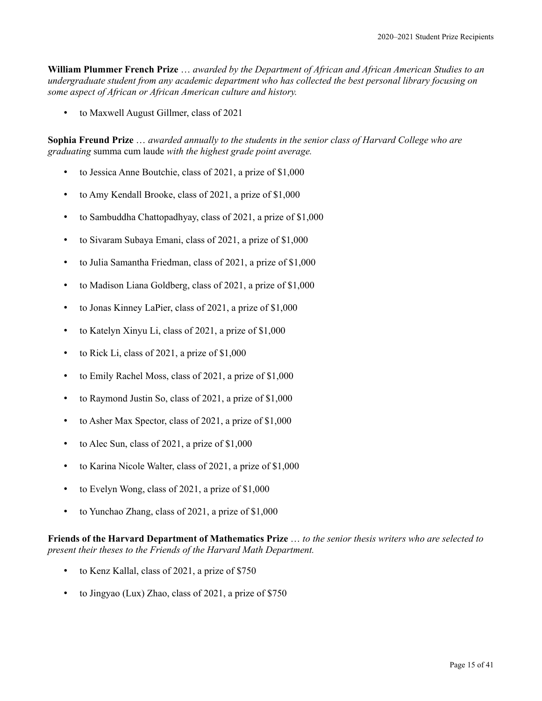**William Plummer French Prize** … *awarded by the Department of African and African American Studies to an undergraduate student from any academic department who has collected the best personal library focusing on some aspect of African or African American culture and history.*

• to Maxwell August Gillmer, class of 2021

**Sophia Freund Prize** … *awarded annually to the students in the senior class of Harvard College who are graduating* summa cum laude *with the highest grade point average.*

- to Jessica Anne Boutchie, class of 2021, a prize of \$1,000
- to Amy Kendall Brooke, class of 2021, a prize of \$1,000
- to Sambuddha Chattopadhyay, class of 2021, a prize of \$1,000
- to Sivaram Subaya Emani, class of 2021, a prize of \$1,000
- to Julia Samantha Friedman, class of 2021, a prize of \$1,000
- to Madison Liana Goldberg, class of 2021, a prize of \$1,000
- to Jonas Kinney LaPier, class of 2021, a prize of \$1,000
- to Katelyn Xinyu Li, class of 2021, a prize of \$1,000
- to Rick Li, class of 2021, a prize of \$1,000
- to Emily Rachel Moss, class of 2021, a prize of \$1,000
- to Raymond Justin So, class of 2021, a prize of \$1,000
- to Asher Max Spector, class of 2021, a prize of \$1,000
- to Alec Sun, class of 2021, a prize of \$1,000
- to Karina Nicole Walter, class of 2021, a prize of \$1,000
- to Evelyn Wong, class of 2021, a prize of \$1,000
- to Yunchao Zhang, class of 2021, a prize of \$1,000

**Friends of the Harvard Department of Mathematics Prize** … *to the senior thesis writers who are selected to present their theses to the Friends of the Harvard Math Department.*

- to Kenz Kallal, class of 2021, a prize of \$750
- to Jingyao (Lux) Zhao, class of 2021, a prize of \$750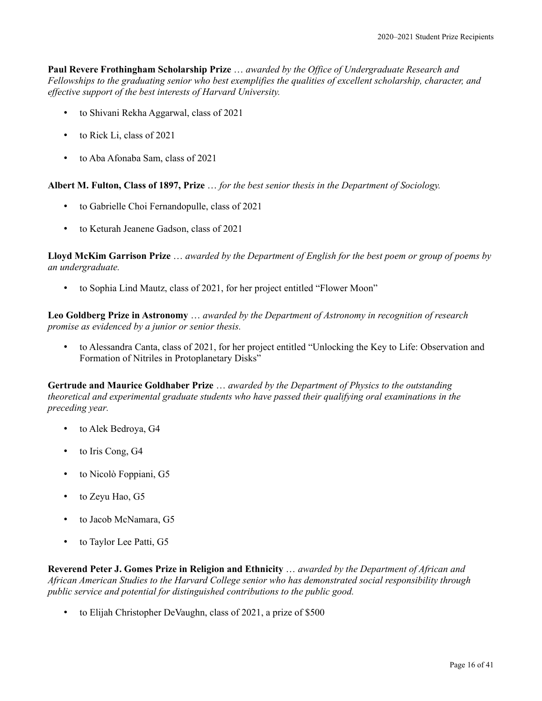**Paul Revere Frothingham Scholarship Prize** … *awarded by the Office of Undergraduate Research and Fellowships to the graduating senior who best exemplifies the qualities of excellent scholarship, character, and effective support of the best interests of Harvard University.*

- to Shivani Rekha Aggarwal, class of 2021
- to Rick Li, class of 2021
- to Aba Afonaba Sam, class of 2021

**Albert M. Fulton, Class of 1897, Prize** … *for the best senior thesis in the Department of Sociology.*

- to Gabrielle Choi Fernandopulle, class of 2021
- to Keturah Jeanene Gadson, class of 2021

**Lloyd McKim Garrison Prize** … *awarded by the Department of English for the best poem or group of poems by an undergraduate.*

• to Sophia Lind Mautz, class of 2021, for her project entitled "Flower Moon"

**Leo Goldberg Prize in Astronomy** … *awarded by the Department of Astronomy in recognition of research promise as evidenced by a junior or senior thesis.*

• to Alessandra Canta, class of 2021, for her project entitled "Unlocking the Key to Life: Observation and Formation of Nitriles in Protoplanetary Disks"

**Gertrude and Maurice Goldhaber Prize** … *awarded by the Department of Physics to the outstanding theoretical and experimental graduate students who have passed their qualifying oral examinations in the preceding year.*

- to Alek Bedroya, G4
- to Iris Cong, G4
- to Nicolò Foppiani, G5
- to Zeyu Hao, G5
- to Jacob McNamara, G5
- to Taylor Lee Patti, G5

**Reverend Peter J. Gomes Prize in Religion and Ethnicity** … *awarded by the Department of African and African American Studies to the Harvard College senior who has demonstrated social responsibility through public service and potential for distinguished contributions to the public good.*

• to Elijah Christopher DeVaughn, class of 2021, a prize of \$500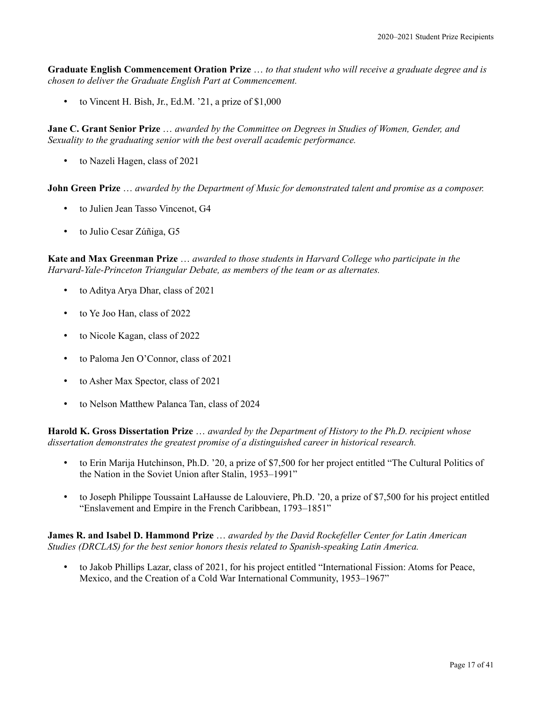**Graduate English Commencement Oration Prize** … *to that student who will receive a graduate degree and is chosen to deliver the Graduate English Part at Commencement.*

• to Vincent H. Bish, Jr., Ed.M. '21, a prize of \$1,000

**Jane C. Grant Senior Prize** … *awarded by the Committee on Degrees in Studies of Women, Gender, and Sexuality to the graduating senior with the best overall academic performance.*

• to Nazeli Hagen, class of 2021

**John Green Prize** … *awarded by the Department of Music for demonstrated talent and promise as a composer.*

- to Julien Jean Tasso Vincenot, G4
- to Julio Cesar Zúñiga, G5

**Kate and Max Greenman Prize** … *awarded to those students in Harvard College who participate in the Harvard-Yale-Princeton Triangular Debate, as members of the team or as alternates.*

- to Aditya Arya Dhar, class of 2021
- to Ye Joo Han, class of 2022
- to Nicole Kagan, class of 2022
- to Paloma Jen O'Connor, class of 2021
- to Asher Max Spector, class of 2021
- to Nelson Matthew Palanca Tan, class of 2024

**Harold K. Gross Dissertation Prize** … *awarded by the Department of History to the Ph.D. recipient whose dissertation demonstrates the greatest promise of a distinguished career in historical research.*

- to Erin Marija Hutchinson, Ph.D. '20, a prize of \$7,500 for her project entitled "The Cultural Politics of the Nation in the Soviet Union after Stalin, 1953–1991"
- to Joseph Philippe Toussaint LaHausse de Lalouviere, Ph.D. '20, a prize of \$7,500 for his project entitled "Enslavement and Empire in the French Caribbean, 1793–1851"

**James R. and Isabel D. Hammond Prize** … *awarded by the David Rockefeller Center for Latin American Studies (DRCLAS) for the best senior honors thesis related to Spanish-speaking Latin America.*

• to Jakob Phillips Lazar, class of 2021, for his project entitled "International Fission: Atoms for Peace, Mexico, and the Creation of a Cold War International Community, 1953–1967"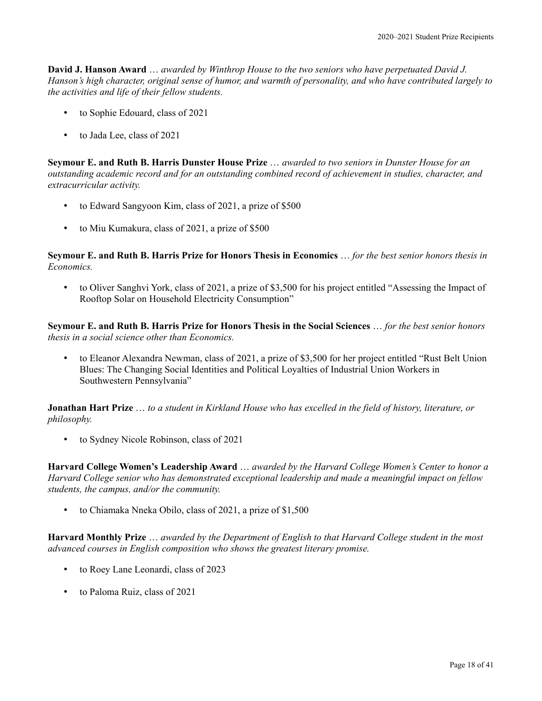**David J. Hanson Award** … *awarded by Winthrop House to the two seniors who have perpetuated David J. Hanson's high character, original sense of humor, and warmth of personality, and who have contributed largely to the activities and life of their fellow students.*

- to Sophie Edouard, class of 2021
- to Jada Lee, class of 2021

**Seymour E. and Ruth B. Harris Dunster House Prize** … *awarded to two seniors in Dunster House for an outstanding academic record and for an outstanding combined record of achievement in studies, character, and extracurricular activity.*

- to Edward Sangyoon Kim, class of 2021, a prize of \$500
- to Miu Kumakura, class of 2021, a prize of \$500

**Seymour E. and Ruth B. Harris Prize for Honors Thesis in Economics** … *for the best senior honors thesis in Economics.*

• to Oliver Sanghvi York, class of 2021, a prize of \$3,500 for his project entitled "Assessing the Impact of Rooftop Solar on Household Electricity Consumption"

**Seymour E. and Ruth B. Harris Prize for Honors Thesis in the Social Sciences** … *for the best senior honors thesis in a social science other than Economics.*

• to Eleanor Alexandra Newman, class of 2021, a prize of \$3,500 for her project entitled "Rust Belt Union Blues: The Changing Social Identities and Political Loyalties of Industrial Union Workers in Southwestern Pennsylvania"

**Jonathan Hart Prize** … *to a student in Kirkland House who has excelled in the field of history, literature, or philosophy.*

• to Sydney Nicole Robinson, class of 2021

**Harvard College Women's Leadership Award** … *awarded by the Harvard College Women's Center to honor a Harvard College senior who has demonstrated exceptional leadership and made a meaningful impact on fellow students, the campus, and/or the community.*

• to Chiamaka Nneka Obilo, class of 2021, a prize of \$1,500

**Harvard Monthly Prize** … *awarded by the Department of English to that Harvard College student in the most advanced courses in English composition who shows the greatest literary promise.*

- to Roey Lane Leonardi, class of 2023
- to Paloma Ruiz, class of 2021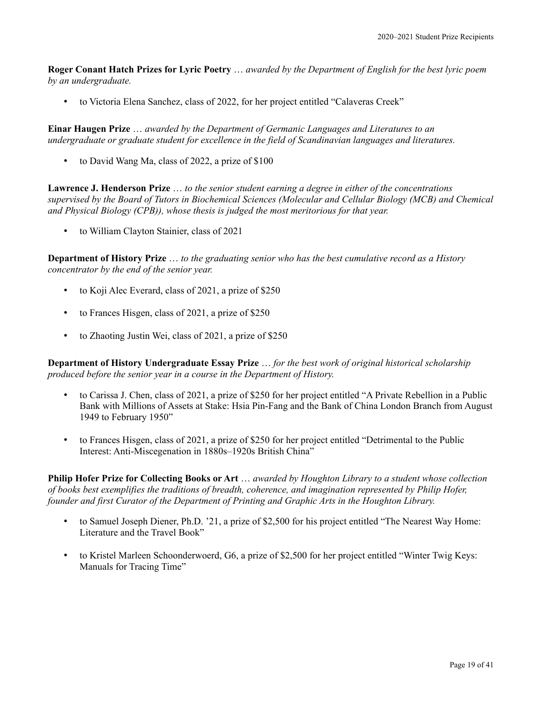**Roger Conant Hatch Prizes for Lyric Poetry** … *awarded by the Department of English for the best lyric poem by an undergraduate.*

• to Victoria Elena Sanchez, class of 2022, for her project entitled "Calaveras Creek"

**Einar Haugen Prize** … *awarded by the Department of Germanic Languages and Literatures to an undergraduate or graduate student for excellence in the field of Scandinavian languages and literatures.*

• to David Wang Ma, class of 2022, a prize of \$100

**Lawrence J. Henderson Prize** … *to the senior student earning a degree in either of the concentrations supervised by the Board of Tutors in Biochemical Sciences (Molecular and Cellular Biology (MCB) and Chemical and Physical Biology (CPB)), whose thesis is judged the most meritorious for that year.*

• to William Clayton Stainier, class of 2021

**Department of History Prize** … *to the graduating senior who has the best cumulative record as a History concentrator by the end of the senior year.*

- to Koji Alec Everard, class of 2021, a prize of \$250
- to Frances Hisgen, class of 2021, a prize of \$250
- to Zhaoting Justin Wei, class of 2021, a prize of \$250

**Department of History Undergraduate Essay Prize** … *for the best work of original historical scholarship produced before the senior year in a course in the Department of History.*

- to Carissa J. Chen, class of 2021, a prize of \$250 for her project entitled "A Private Rebellion in a Public Bank with Millions of Assets at Stake: Hsia Pin-Fang and the Bank of China London Branch from August 1949 to February 1950"
- to Frances Hisgen, class of 2021, a prize of \$250 for her project entitled "Detrimental to the Public Interest: Anti-Miscegenation in 1880s–1920s British China"

**Philip Hofer Prize for Collecting Books or Art** … *awarded by Houghton Library to a student whose collection of books best exemplifies the traditions of breadth, coherence, and imagination represented by Philip Hofer, founder and first Curator of the Department of Printing and Graphic Arts in the Houghton Library.*

- to Samuel Joseph Diener, Ph.D. '21, a prize of \$2,500 for his project entitled "The Nearest Way Home: Literature and the Travel Book"
- to Kristel Marleen Schoonderwoerd, G6, a prize of \$2,500 for her project entitled "Winter Twig Keys: Manuals for Tracing Time"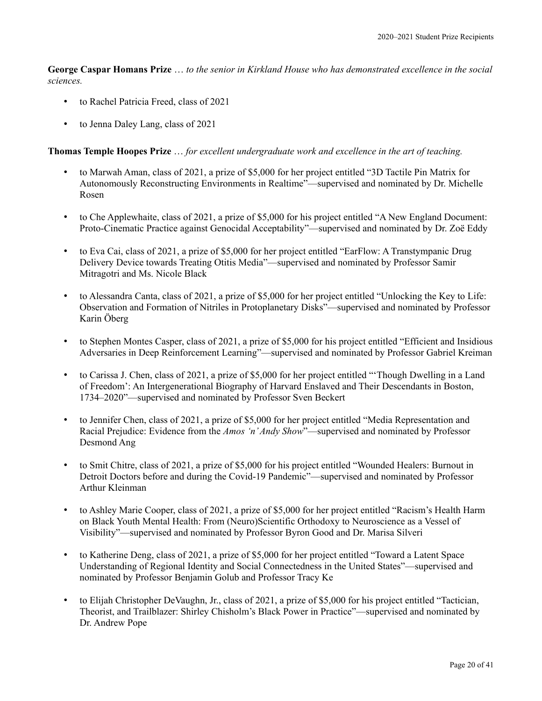**George Caspar Homans Prize** … *to the senior in Kirkland House who has demonstrated excellence in the social sciences.*

- to Rachel Patricia Freed, class of 2021
- to Jenna Daley Lang, class of 2021

**Thomas Temple Hoopes Prize** … *for excellent undergraduate work and excellence in the art of teaching.*

- to Marwah Aman, class of 2021, a prize of \$5,000 for her project entitled "3D Tactile Pin Matrix for Autonomously Reconstructing Environments in Realtime"—supervised and nominated by Dr. Michelle Rosen
- to Che Applewhaite, class of 2021, a prize of \$5,000 for his project entitled "A New England Document: Proto-Cinematic Practice against Genocidal Acceptability"—supervised and nominated by Dr. Zoë Eddy
- to Eva Cai, class of 2021, a prize of \$5,000 for her project entitled "EarFlow: A Transtympanic Drug Delivery Device towards Treating Otitis Media"—supervised and nominated by Professor Samir Mitragotri and Ms. Nicole Black
- to Alessandra Canta, class of 2021, a prize of \$5,000 for her project entitled "Unlocking the Key to Life: Observation and Formation of Nitriles in Protoplanetary Disks"—supervised and nominated by Professor Karin Öberg
- to Stephen Montes Casper, class of 2021, a prize of \$5,000 for his project entitled "Efficient and Insidious Adversaries in Deep Reinforcement Learning"—supervised and nominated by Professor Gabriel Kreiman
- to Carissa J. Chen, class of 2021, a prize of \$5,000 for her project entitled "'Though Dwelling in a Land of Freedom': An Intergenerational Biography of Harvard Enslaved and Their Descendants in Boston, 1734–2020"—supervised and nominated by Professor Sven Beckert
- to Jennifer Chen, class of 2021, a prize of \$5,000 for her project entitled "Media Representation and Racial Prejudice: Evidence from the *Amos 'n' Andy Show*"—supervised and nominated by Professor Desmond Ang
- to Smit Chitre, class of 2021, a prize of \$5,000 for his project entitled "Wounded Healers: Burnout in Detroit Doctors before and during the Covid-19 Pandemic"—supervised and nominated by Professor Arthur Kleinman
- to Ashley Marie Cooper, class of 2021, a prize of \$5,000 for her project entitled "Racism's Health Harm on Black Youth Mental Health: From (Neuro)Scientific Orthodoxy to Neuroscience as a Vessel of Visibility"—supervised and nominated by Professor Byron Good and Dr. Marisa Silveri
- to Katherine Deng, class of 2021, a prize of \$5,000 for her project entitled "Toward a Latent Space Understanding of Regional Identity and Social Connectedness in the United States"—supervised and nominated by Professor Benjamin Golub and Professor Tracy Ke
- to Elijah Christopher DeVaughn, Jr., class of 2021, a prize of \$5,000 for his project entitled "Tactician, Theorist, and Trailblazer: Shirley Chisholm's Black Power in Practice"—supervised and nominated by Dr. Andrew Pope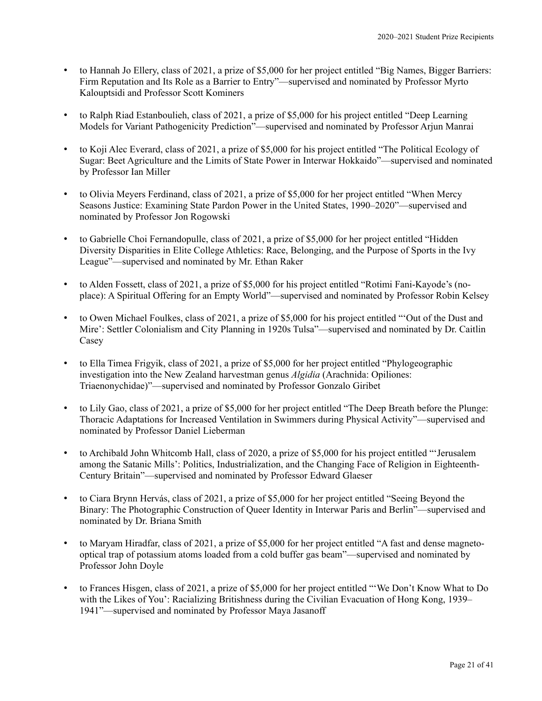- to Hannah Jo Ellery, class of 2021, a prize of \$5,000 for her project entitled "Big Names, Bigger Barriers: Firm Reputation and Its Role as a Barrier to Entry"—supervised and nominated by Professor Myrto Kalouptsidi and Professor Scott Kominers
- to Ralph Riad Estanboulieh, class of 2021, a prize of \$5,000 for his project entitled "Deep Learning Models for Variant Pathogenicity Prediction"—supervised and nominated by Professor Arjun Manrai
- to Koji Alec Everard, class of 2021, a prize of \$5,000 for his project entitled "The Political Ecology of Sugar: Beet Agriculture and the Limits of State Power in Interwar Hokkaido"—supervised and nominated by Professor Ian Miller
- to Olivia Meyers Ferdinand, class of 2021, a prize of \$5,000 for her project entitled "When Mercy Seasons Justice: Examining State Pardon Power in the United States, 1990–2020"—supervised and nominated by Professor Jon Rogowski
- to Gabrielle Choi Fernandopulle, class of 2021, a prize of \$5,000 for her project entitled "Hidden Diversity Disparities in Elite College Athletics: Race, Belonging, and the Purpose of Sports in the Ivy League"—supervised and nominated by Mr. Ethan Raker
- to Alden Fossett, class of 2021, a prize of \$5,000 for his project entitled "Rotimi Fani-Kayode's (noplace): A Spiritual Offering for an Empty World"—supervised and nominated by Professor Robin Kelsey
- to Owen Michael Foulkes, class of 2021, a prize of \$5,000 for his project entitled "'Out of the Dust and Mire': Settler Colonialism and City Planning in 1920s Tulsa"—supervised and nominated by Dr. Caitlin Casey
- to Ella Timea Frigyik, class of 2021, a prize of \$5,000 for her project entitled "Phylogeographic investigation into the New Zealand harvestman genus *Algidia* (Arachnida: Opiliones: Triaenonychidae)"—supervised and nominated by Professor Gonzalo Giribet
- to Lily Gao, class of 2021, a prize of \$5,000 for her project entitled "The Deep Breath before the Plunge: Thoracic Adaptations for Increased Ventilation in Swimmers during Physical Activity"—supervised and nominated by Professor Daniel Lieberman
- to Archibald John Whitcomb Hall, class of 2020, a prize of \$5,000 for his project entitled "'Jerusalem among the Satanic Mills': Politics, Industrialization, and the Changing Face of Religion in Eighteenth-Century Britain"—supervised and nominated by Professor Edward Glaeser
- to Ciara Brynn Hervás, class of 2021, a prize of \$5,000 for her project entitled "Seeing Beyond the Binary: The Photographic Construction of Queer Identity in Interwar Paris and Berlin"—supervised and nominated by Dr. Briana Smith
- to Maryam Hiradfar, class of 2021, a prize of \$5,000 for her project entitled "A fast and dense magnetooptical trap of potassium atoms loaded from a cold buffer gas beam"—supervised and nominated by Professor John Doyle
- to Frances Hisgen, class of 2021, a prize of \$5,000 for her project entitled "'We Don't Know What to Do with the Likes of You': Racializing Britishness during the Civilian Evacuation of Hong Kong, 1939– 1941"—supervised and nominated by Professor Maya Jasanoff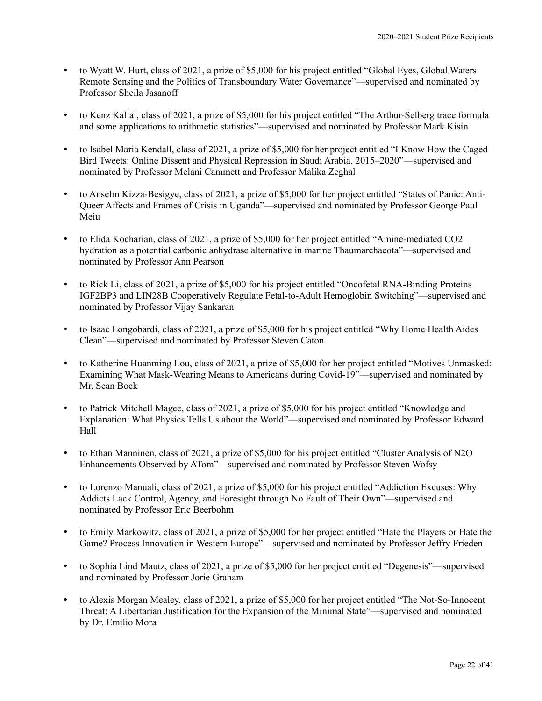- to Wyatt W. Hurt, class of 2021, a prize of \$5,000 for his project entitled "Global Eyes, Global Waters: Remote Sensing and the Politics of Transboundary Water Governance"—supervised and nominated by Professor Sheila Jasanoff
- to Kenz Kallal, class of 2021, a prize of \$5,000 for his project entitled "The Arthur-Selberg trace formula and some applications to arithmetic statistics"—supervised and nominated by Professor Mark Kisin
- to Isabel Maria Kendall, class of 2021, a prize of \$5,000 for her project entitled "I Know How the Caged Bird Tweets: Online Dissent and Physical Repression in Saudi Arabia, 2015–2020"—supervised and nominated by Professor Melani Cammett and Professor Malika Zeghal
- to Anselm Kizza-Besigye, class of 2021, a prize of \$5,000 for her project entitled "States of Panic: Anti-Queer Affects and Frames of Crisis in Uganda"—supervised and nominated by Professor George Paul Meiu
- to Elida Kocharian, class of 2021, a prize of \$5,000 for her project entitled "Amine-mediated CO2 hydration as a potential carbonic anhydrase alternative in marine Thaumarchaeota"—supervised and nominated by Professor Ann Pearson
- to Rick Li, class of 2021, a prize of \$5,000 for his project entitled "Oncofetal RNA-Binding Proteins IGF2BP3 and LIN28B Cooperatively Regulate Fetal-to-Adult Hemoglobin Switching"—supervised and nominated by Professor Vijay Sankaran
- to Isaac Longobardi, class of 2021, a prize of \$5,000 for his project entitled "Why Home Health Aides Clean"—supervised and nominated by Professor Steven Caton
- to Katherine Huanming Lou, class of 2021, a prize of \$5,000 for her project entitled "Motives Unmasked: Examining What Mask-Wearing Means to Americans during Covid-19"—supervised and nominated by Mr. Sean Bock
- to Patrick Mitchell Magee, class of 2021, a prize of \$5,000 for his project entitled "Knowledge and Explanation: What Physics Tells Us about the World"—supervised and nominated by Professor Edward Hall
- to Ethan Manninen, class of 2021, a prize of \$5,000 for his project entitled "Cluster Analysis of N2O Enhancements Observed by ATom"—supervised and nominated by Professor Steven Wofsy
- to Lorenzo Manuali, class of 2021, a prize of \$5,000 for his project entitled "Addiction Excuses: Why Addicts Lack Control, Agency, and Foresight through No Fault of Their Own"—supervised and nominated by Professor Eric Beerbohm
- to Emily Markowitz, class of 2021, a prize of \$5,000 for her project entitled "Hate the Players or Hate the Game? Process Innovation in Western Europe"—supervised and nominated by Professor Jeffry Frieden
- to Sophia Lind Mautz, class of 2021, a prize of \$5,000 for her project entitled "Degenesis"—supervised and nominated by Professor Jorie Graham
- to Alexis Morgan Mealey, class of 2021, a prize of \$5,000 for her project entitled "The Not-So-Innocent Threat: A Libertarian Justification for the Expansion of the Minimal State"—supervised and nominated by Dr. Emilio Mora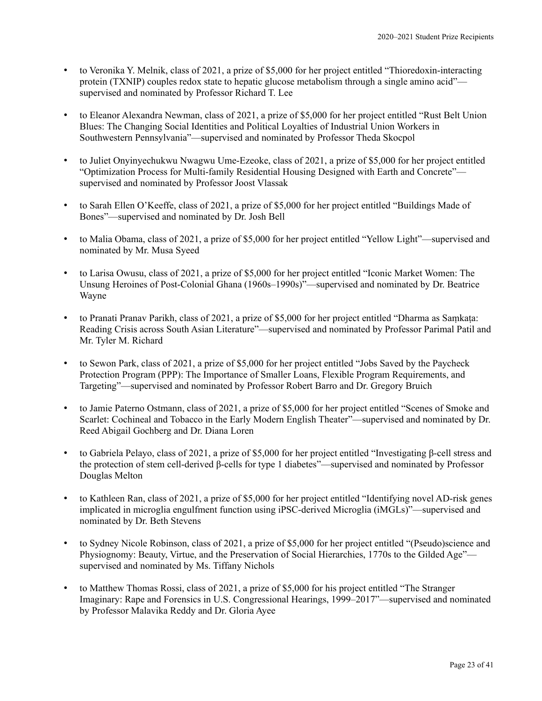- to Veronika Y. Melnik, class of 2021, a prize of \$5,000 for her project entitled "Thioredoxin-interacting protein (TXNIP) couples redox state to hepatic glucose metabolism through a single amino acid" supervised and nominated by Professor Richard T. Lee
- to Eleanor Alexandra Newman, class of 2021, a prize of \$5,000 for her project entitled "Rust Belt Union Blues: The Changing Social Identities and Political Loyalties of Industrial Union Workers in Southwestern Pennsylvania"—supervised and nominated by Professor Theda Skocpol
- to Juliet Onyinyechukwu Nwagwu Ume-Ezeoke, class of 2021, a prize of \$5,000 for her project entitled "Optimization Process for Multi-family Residential Housing Designed with Earth and Concrete" supervised and nominated by Professor Joost Vlassak
- to Sarah Ellen O'Keeffe, class of 2021, a prize of \$5,000 for her project entitled "Buildings Made of Bones"—supervised and nominated by Dr. Josh Bell
- to Malia Obama, class of 2021, a prize of \$5,000 for her project entitled "Yellow Light"—supervised and nominated by Mr. Musa Syeed
- to Larisa Owusu, class of 2021, a prize of \$5,000 for her project entitled "Iconic Market Women: The Unsung Heroines of Post-Colonial Ghana (1960s–1990s)"—supervised and nominated by Dr. Beatrice Wayne
- to Pranati Pranav Parikh, class of 2021, a prize of \$5,000 for her project entitled "Dharma as Saṃkaṭa: Reading Crisis across South Asian Literature"—supervised and nominated by Professor Parimal Patil and Mr. Tyler M. Richard
- to Sewon Park, class of 2021, a prize of \$5,000 for her project entitled "Jobs Saved by the Paycheck Protection Program (PPP): The Importance of Smaller Loans, Flexible Program Requirements, and Targeting"—supervised and nominated by Professor Robert Barro and Dr. Gregory Bruich
- to Jamie Paterno Ostmann, class of 2021, a prize of \$5,000 for her project entitled "Scenes of Smoke and Scarlet: Cochineal and Tobacco in the Early Modern English Theater"—supervised and nominated by Dr. Reed Abigail Gochberg and Dr. Diana Loren
- to Gabriela Pelayo, class of 2021, a prize of \$5,000 for her project entitled "Investigating β-cell stress and the protection of stem cell-derived β-cells for type 1 diabetes"—supervised and nominated by Professor Douglas Melton
- to Kathleen Ran, class of 2021, a prize of \$5,000 for her project entitled "Identifying novel AD-risk genes implicated in microglia engulfment function using iPSC-derived Microglia (iMGLs)"—supervised and nominated by Dr. Beth Stevens
- to Sydney Nicole Robinson, class of 2021, a prize of \$5,000 for her project entitled "(Pseudo)science and Physiognomy: Beauty, Virtue, and the Preservation of Social Hierarchies, 1770s to the Gilded Age" supervised and nominated by Ms. Tiffany Nichols
- to Matthew Thomas Rossi, class of 2021, a prize of \$5,000 for his project entitled "The Stranger Imaginary: Rape and Forensics in U.S. Congressional Hearings, 1999–2017"—supervised and nominated by Professor Malavika Reddy and Dr. Gloria Ayee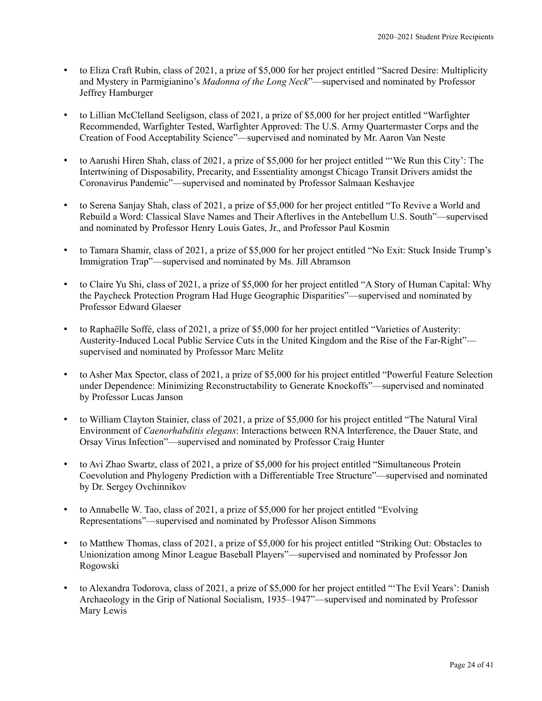- to Eliza Craft Rubin, class of 2021, a prize of \$5,000 for her project entitled "Sacred Desire: Multiplicity and Mystery in Parmigianino's *Madonna of the Long Neck*"—supervised and nominated by Professor Jeffrey Hamburger
- to Lillian McClelland Seeligson, class of 2021, a prize of \$5,000 for her project entitled "Warfighter Recommended, Warfighter Tested, Warfighter Approved: The U.S. Army Quartermaster Corps and the Creation of Food Acceptability Science"—supervised and nominated by Mr. Aaron Van Neste
- to Aarushi Hiren Shah, class of 2021, a prize of \$5,000 for her project entitled "'We Run this City': The Intertwining of Disposability, Precarity, and Essentiality amongst Chicago Transit Drivers amidst the Coronavirus Pandemic"—supervised and nominated by Professor Salmaan Keshavjee
- to Serena Sanjay Shah, class of 2021, a prize of \$5,000 for her project entitled "To Revive a World and Rebuild a Word: Classical Slave Names and Their Afterlives in the Antebellum U.S. South"—supervised and nominated by Professor Henry Louis Gates, Jr., and Professor Paul Kosmin
- to Tamara Shamir, class of 2021, a prize of \$5,000 for her project entitled "No Exit: Stuck Inside Trump's Immigration Trap"—supervised and nominated by Ms. Jill Abramson
- to Claire Yu Shi, class of 2021, a prize of \$5,000 for her project entitled "A Story of Human Capital: Why the Paycheck Protection Program Had Huge Geographic Disparities"—supervised and nominated by Professor Edward Glaeser
- to Raphaëlle Soffé, class of 2021, a prize of \$5,000 for her project entitled "Varieties of Austerity: Austerity-Induced Local Public Service Cuts in the United Kingdom and the Rise of the Far-Right" supervised and nominated by Professor Marc Melitz
- to Asher Max Spector, class of 2021, a prize of \$5,000 for his project entitled "Powerful Feature Selection under Dependence: Minimizing Reconstructability to Generate Knockoffs"—supervised and nominated by Professor Lucas Janson
- to William Clayton Stainier, class of 2021, a prize of \$5,000 for his project entitled "The Natural Viral Environment of *Caenorhabditis elegans*: Interactions between RNA Interference, the Dauer State, and Orsay Virus Infection"—supervised and nominated by Professor Craig Hunter
- to Avi Zhao Swartz, class of 2021, a prize of \$5,000 for his project entitled "Simultaneous Protein Coevolution and Phylogeny Prediction with a Differentiable Tree Structure"—supervised and nominated by Dr. Sergey Ovchinnikov
- to Annabelle W. Tao, class of 2021, a prize of \$5,000 for her project entitled "Evolving Representations"—supervised and nominated by Professor Alison Simmons
- to Matthew Thomas, class of 2021, a prize of \$5,000 for his project entitled "Striking Out: Obstacles to Unionization among Minor League Baseball Players"—supervised and nominated by Professor Jon Rogowski
- to Alexandra Todorova, class of 2021, a prize of \$5,000 for her project entitled "'The Evil Years': Danish Archaeology in the Grip of National Socialism, 1935–1947"—supervised and nominated by Professor Mary Lewis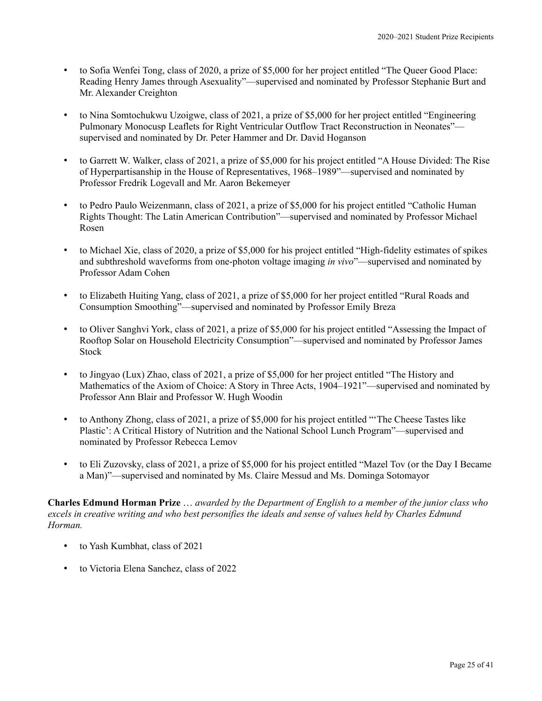- to Sofia Wenfei Tong, class of 2020, a prize of \$5,000 for her project entitled "The Queer Good Place: Reading Henry James through Asexuality"—supervised and nominated by Professor Stephanie Burt and Mr. Alexander Creighton
- to Nina Somtochukwu Uzoigwe, class of 2021, a prize of \$5,000 for her project entitled "Engineering Pulmonary Monocusp Leaflets for Right Ventricular Outflow Tract Reconstruction in Neonates" supervised and nominated by Dr. Peter Hammer and Dr. David Hoganson
- to Garrett W. Walker, class of 2021, a prize of \$5,000 for his project entitled "A House Divided: The Rise of Hyperpartisanship in the House of Representatives, 1968–1989"—supervised and nominated by Professor Fredrik Logevall and Mr. Aaron Bekemeyer
- to Pedro Paulo Weizenmann, class of 2021, a prize of \$5,000 for his project entitled "Catholic Human Rights Thought: The Latin American Contribution"—supervised and nominated by Professor Michael Rosen
- to Michael Xie, class of 2020, a prize of \$5,000 for his project entitled "High-fidelity estimates of spikes and subthreshold waveforms from one-photon voltage imaging *in vivo*"—supervised and nominated by Professor Adam Cohen
- to Elizabeth Huiting Yang, class of 2021, a prize of \$5,000 for her project entitled "Rural Roads and Consumption Smoothing"—supervised and nominated by Professor Emily Breza
- to Oliver Sanghvi York, class of 2021, a prize of \$5,000 for his project entitled "Assessing the Impact of Rooftop Solar on Household Electricity Consumption"—supervised and nominated by Professor James Stock
- to Jingyao (Lux) Zhao, class of 2021, a prize of \$5,000 for her project entitled "The History and Mathematics of the Axiom of Choice: A Story in Three Acts, 1904–1921"—supervised and nominated by Professor Ann Blair and Professor W. Hugh Woodin
- to Anthony Zhong, class of 2021, a prize of \$5,000 for his project entitled "'The Cheese Tastes like Plastic': A Critical History of Nutrition and the National School Lunch Program"—supervised and nominated by Professor Rebecca Lemov
- to Eli Zuzovsky, class of 2021, a prize of \$5,000 for his project entitled "Mazel Tov (or the Day I Became a Man)"—supervised and nominated by Ms. Claire Messud and Ms. Dominga Sotomayor

**Charles Edmund Horman Prize** … *awarded by the Department of English to a member of the junior class who excels in creative writing and who best personifies the ideals and sense of values held by Charles Edmund Horman.*

- to Yash Kumbhat, class of 2021
- to Victoria Elena Sanchez, class of 2022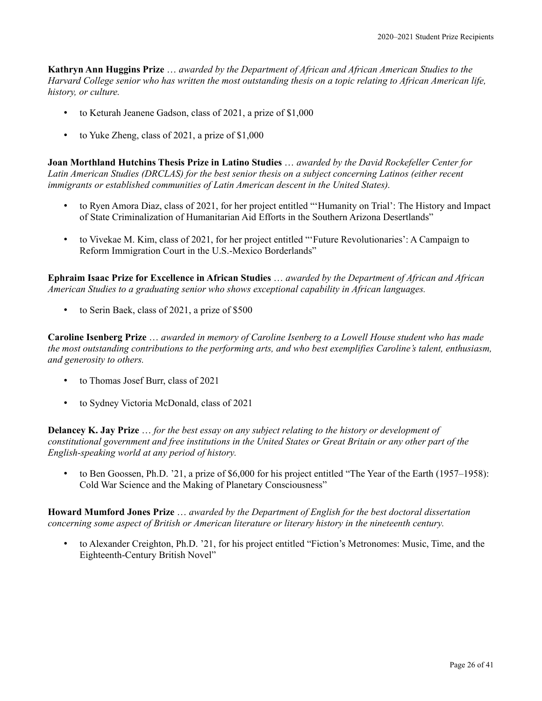**Kathryn Ann Huggins Prize** … *awarded by the Department of African and African American Studies to the Harvard College senior who has written the most outstanding thesis on a topic relating to African American life, history, or culture.*

- to Keturah Jeanene Gadson, class of 2021, a prize of \$1,000
- to Yuke Zheng, class of 2021, a prize of \$1,000

**Joan Morthland Hutchins Thesis Prize in Latino Studies** … *awarded by the David Rockefeller Center for Latin American Studies (DRCLAS) for the best senior thesis on a subject concerning Latinos (either recent immigrants or established communities of Latin American descent in the United States).*

- to Ryen Amora Diaz, class of 2021, for her project entitled "'Humanity on Trial': The History and Impact of State Criminalization of Humanitarian Aid Efforts in the Southern Arizona Desertlands"
- to Vivekae M. Kim, class of 2021, for her project entitled "'Future Revolutionaries': A Campaign to Reform Immigration Court in the U.S.-Mexico Borderlands"

**Ephraim Isaac Prize for Excellence in African Studies** … *awarded by the Department of African and African American Studies to a graduating senior who shows exceptional capability in African languages.*

• to Serin Baek, class of 2021, a prize of \$500

**Caroline Isenberg Prize** … *awarded in memory of Caroline Isenberg to a Lowell House student who has made the most outstanding contributions to the performing arts, and who best exemplifies Caroline's talent, enthusiasm, and generosity to others.*

- to Thomas Josef Burr, class of 2021
- to Sydney Victoria McDonald, class of 2021

**Delancey K. Jay Prize** … *for the best essay on any subject relating to the history or development of constitutional government and free institutions in the United States or Great Britain or any other part of the English-speaking world at any period of history.*

• to Ben Goossen, Ph.D. '21, a prize of \$6,000 for his project entitled "The Year of the Earth (1957–1958): Cold War Science and the Making of Planetary Consciousness"

**Howard Mumford Jones Prize** … *awarded by the Department of English for the best doctoral dissertation concerning some aspect of British or American literature or literary history in the nineteenth century.*

• to Alexander Creighton, Ph.D. '21, for his project entitled "Fiction's Metronomes: Music, Time, and the Eighteenth-Century British Novel"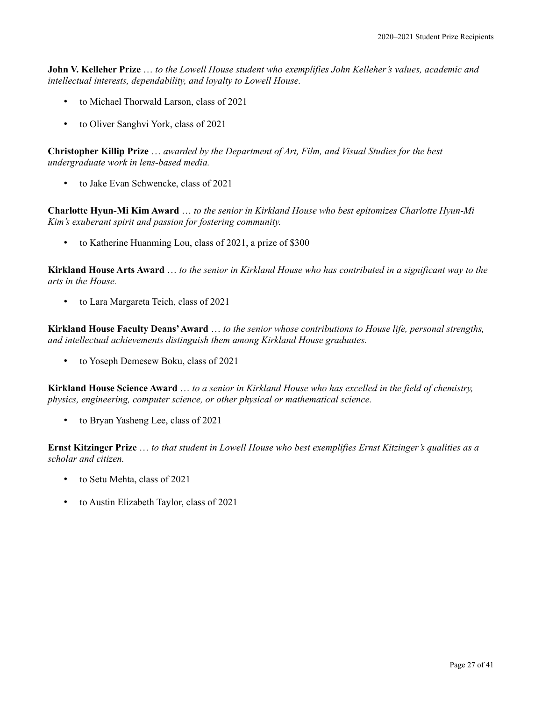**John V. Kelleher Prize** … *to the Lowell House student who exemplifies John Kelleher's values, academic and intellectual interests, dependability, and loyalty to Lowell House.*

- to Michael Thorwald Larson, class of 2021
- to Oliver Sanghvi York, class of 2021

**Christopher Killip Prize** … *awarded by the Department of Art, Film, and Visual Studies for the best undergraduate work in lens-based media.*

• to Jake Evan Schwencke, class of 2021

**Charlotte Hyun-Mi Kim Award** … *to the senior in Kirkland House who best epitomizes Charlotte Hyun-Mi Kim's exuberant spirit and passion for fostering community.*

• to Katherine Huanming Lou, class of 2021, a prize of \$300

**Kirkland House Arts Award** … *to the senior in Kirkland House who has contributed in a significant way to the arts in the House.*

• to Lara Margareta Teich, class of 2021

**Kirkland House Faculty Deans' Award** … *to the senior whose contributions to House life, personal strengths, and intellectual achievements distinguish them among Kirkland House graduates.*

• to Yoseph Demesew Boku, class of 2021

**Kirkland House Science Award** … *to a senior in Kirkland House who has excelled in the field of chemistry, physics, engineering, computer science, or other physical or mathematical science.*

to Bryan Yasheng Lee, class of 2021

**Ernst Kitzinger Prize** … *to that student in Lowell House who best exemplifies Ernst Kitzinger's qualities as a scholar and citizen.*

- to Setu Mehta, class of 2021
- to Austin Elizabeth Taylor, class of 2021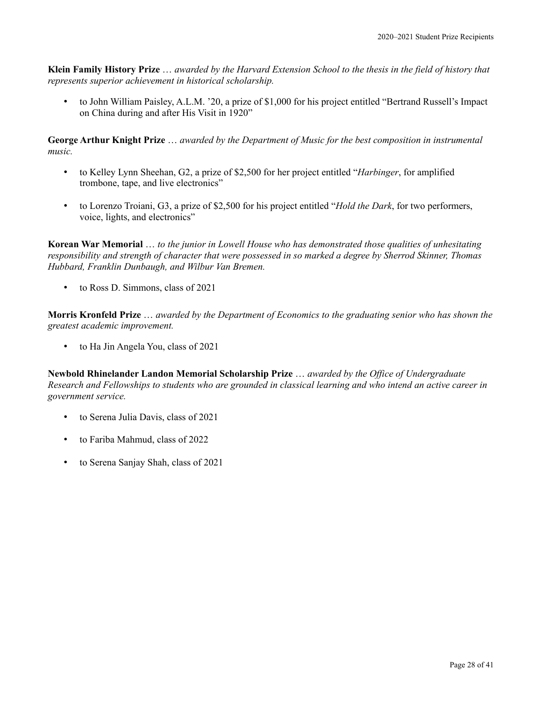**Klein Family History Prize** … *awarded by the Harvard Extension School to the thesis in the field of history that represents superior achievement in historical scholarship.*

• to John William Paisley, A.L.M. '20, a prize of \$1,000 for his project entitled "Bertrand Russell's Impact on China during and after His Visit in 1920"

**George Arthur Knight Prize** … *awarded by the Department of Music for the best composition in instrumental music.*

- to Kelley Lynn Sheehan, G2, a prize of \$2,500 for her project entitled "*Harbinger*, for amplified trombone, tape, and live electronics"
- to Lorenzo Troiani, G3, a prize of \$2,500 for his project entitled "*Hold the Dark*, for two performers, voice, lights, and electronics"

**Korean War Memorial** … *to the junior in Lowell House who has demonstrated those qualities of unhesitating responsibility and strength of character that were possessed in so marked a degree by Sherrod Skinner, Thomas Hubbard, Franklin Dunbaugh, and Wilbur Van Bremen.*

• to Ross D. Simmons, class of 2021

**Morris Kronfeld Prize** … *awarded by the Department of Economics to the graduating senior who has shown the greatest academic improvement.*

• to Ha Jin Angela You, class of 2021

**Newbold Rhinelander Landon Memorial Scholarship Prize** … *awarded by the Office of Undergraduate Research and Fellowships to students who are grounded in classical learning and who intend an active career in government service.*

- to Serena Julia Davis, class of 2021
- to Fariba Mahmud, class of 2022
- to Serena Sanjay Shah, class of 2021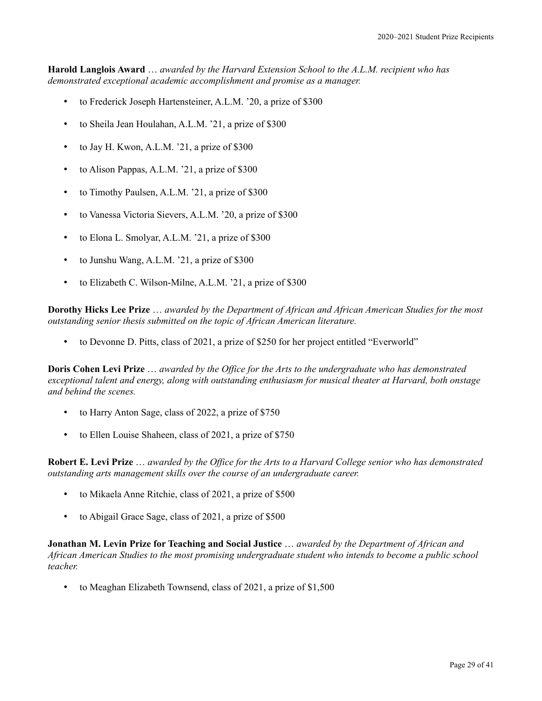**Harold Langlois Award** … *awarded by the Harvard Extension School to the A.L.M. recipient who has demonstrated exceptional academic accomplishment and promise as a manager.*

- to Frederick Joseph Hartensteiner, A.L.M. '20, a prize of \$300
- to Sheila Jean Houlahan, A.L.M. '21, a prize of \$300
- to Jay H. Kwon, A.L.M. '21, a prize of \$300
- to Alison Pappas, A.L.M. '21, a prize of \$300
- to Timothy Paulsen, A.L.M. '21, a prize of \$300
- to Vanessa Victoria Sievers, A.L.M. '20, a prize of \$300
- to Elona L. Smolyar, A.L.M. '21, a prize of \$300
- to Junshu Wang, A.L.M. '21, a prize of \$300
- to Elizabeth C. Wilson-Milne, A.L.M. '21, a prize of \$300

**Dorothy Hicks Lee Prize** … *awarded by the Department of African and African American Studies for the most outstanding senior thesis submitted on the topic of African American literature.*

• to Devonne D. Pitts, class of 2021, a prize of \$250 for her project entitled "Everworld"

**Doris Cohen Levi Prize** … *awarded by the Office for the Arts to the undergraduate who has demonstrated exceptional talent and energy, along with outstanding enthusiasm for musical theater at Harvard, both onstage and behind the scenes.*

- to Harry Anton Sage, class of 2022, a prize of \$750
- to Ellen Louise Shaheen, class of 2021, a prize of \$750

**Robert E. Levi Prize** … *awarded by the Office for the Arts to a Harvard College senior who has demonstrated outstanding arts management skills over the course of an undergraduate career.*

- to Mikaela Anne Ritchie, class of 2021, a prize of \$500
- to Abigail Grace Sage, class of 2021, a prize of \$500

**Jonathan M. Levin Prize for Teaching and Social Justice** … *awarded by the Department of African and African American Studies to the most promising undergraduate student who intends to become a public school teacher.*

• to Meaghan Elizabeth Townsend, class of 2021, a prize of \$1,500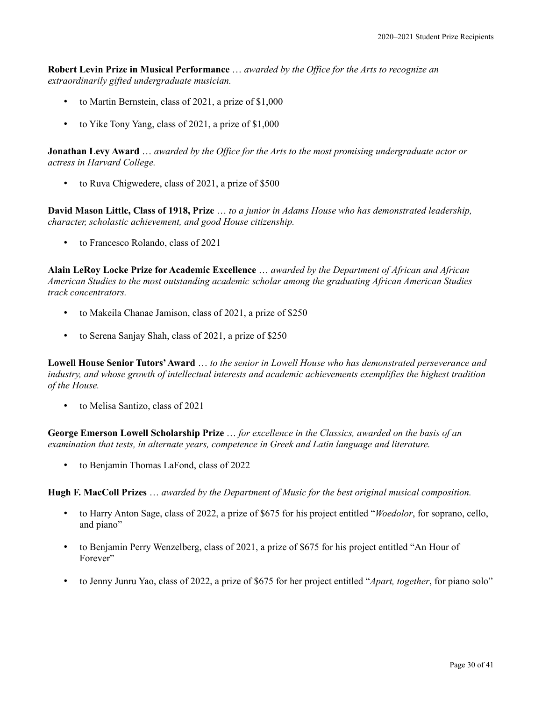**Robert Levin Prize in Musical Performance** … *awarded by the Office for the Arts to recognize an extraordinarily gifted undergraduate musician.*

- to Martin Bernstein, class of 2021, a prize of \$1,000
- to Yike Tony Yang, class of 2021, a prize of \$1,000

**Jonathan Levy Award** … *awarded by the Office for the Arts to the most promising undergraduate actor or actress in Harvard College.*

to Ruva Chigwedere, class of 2021, a prize of \$500

**David Mason Little, Class of 1918, Prize** … *to a junior in Adams House who has demonstrated leadership, character, scholastic achievement, and good House citizenship.*

• to Francesco Rolando, class of 2021

**Alain LeRoy Locke Prize for Academic Excellence** … *awarded by the Department of African and African American Studies to the most outstanding academic scholar among the graduating African American Studies track concentrators.*

- to Makeila Chanae Jamison, class of 2021, a prize of \$250
- to Serena Sanjay Shah, class of 2021, a prize of \$250

**Lowell House Senior Tutors'Award** … *to the senior in Lowell House who has demonstrated perseverance and industry, and whose growth of intellectual interests and academic achievements exemplifies the highest tradition of the House.*

• to Melisa Santizo, class of 2021

**George Emerson Lowell Scholarship Prize** … *for excellence in the Classics, awarded on the basis of an examination that tests, in alternate years, competence in Greek and Latin language and literature.*

• to Benjamin Thomas LaFond, class of 2022

**Hugh F. MacColl Prizes** … *awarded by the Department of Music for the best original musical composition.*

- to Harry Anton Sage, class of 2022, a prize of \$675 for his project entitled "*Woedolor*, for soprano, cello, and piano"
- to Benjamin Perry Wenzelberg, class of 2021, a prize of \$675 for his project entitled "An Hour of Forever"
- to Jenny Junru Yao, class of 2022, a prize of \$675 for her project entitled "*Apart, together*, for piano solo"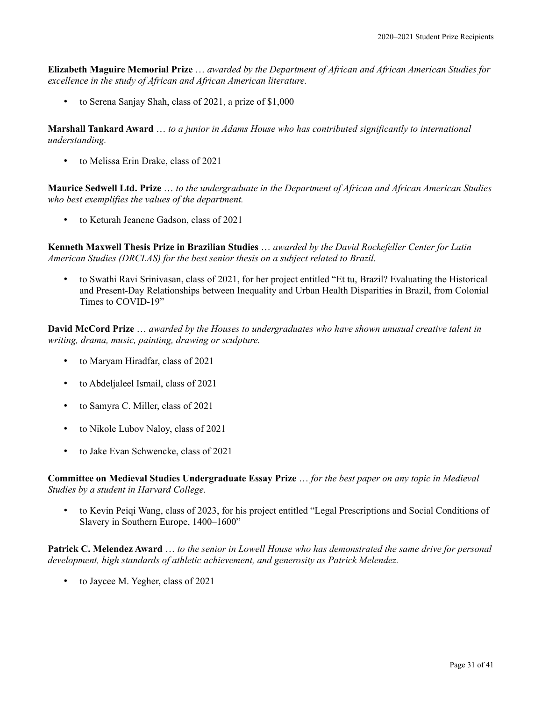**Elizabeth Maguire Memorial Prize** … *awarded by the Department of African and African American Studies for excellence in the study of African and African American literature.*

• to Serena Sanjay Shah, class of 2021, a prize of \$1,000

**Marshall Tankard Award** … *to a junior in Adams House who has contributed significantly to international understanding.*

• to Melissa Erin Drake, class of 2021

**Maurice Sedwell Ltd. Prize** … *to the undergraduate in the Department of African and African American Studies who best exemplifies the values of the department.*

• to Keturah Jeanene Gadson, class of 2021

**Kenneth Maxwell Thesis Prize in Brazilian Studies** … *awarded by the David Rockefeller Center for Latin American Studies (DRCLAS) for the best senior thesis on a subject related to Brazil.*

• to Swathi Ravi Srinivasan, class of 2021, for her project entitled "Et tu, Brazil? Evaluating the Historical and Present-Day Relationships between Inequality and Urban Health Disparities in Brazil, from Colonial Times to COVID-19"

**David McCord Prize** … *awarded by the Houses to undergraduates who have shown unusual creative talent in writing, drama, music, painting, drawing or sculpture.*

- to Maryam Hiradfar, class of 2021
- to Abdeljaleel Ismail, class of 2021
- to Samyra C. Miller, class of 2021
- to Nikole Lubov Naloy, class of 2021
- to Jake Evan Schwencke, class of 2021

**Committee on Medieval Studies Undergraduate Essay Prize** … *for the best paper on any topic in Medieval Studies by a student in Harvard College.*

• to Kevin Peiqi Wang, class of 2023, for his project entitled "Legal Prescriptions and Social Conditions of Slavery in Southern Europe, 1400–1600"

**Patrick C. Melendez Award** … *to the senior in Lowell House who has demonstrated the same drive for personal development, high standards of athletic achievement, and generosity as Patrick Melendez.*

to Jaycee M. Yegher, class of 2021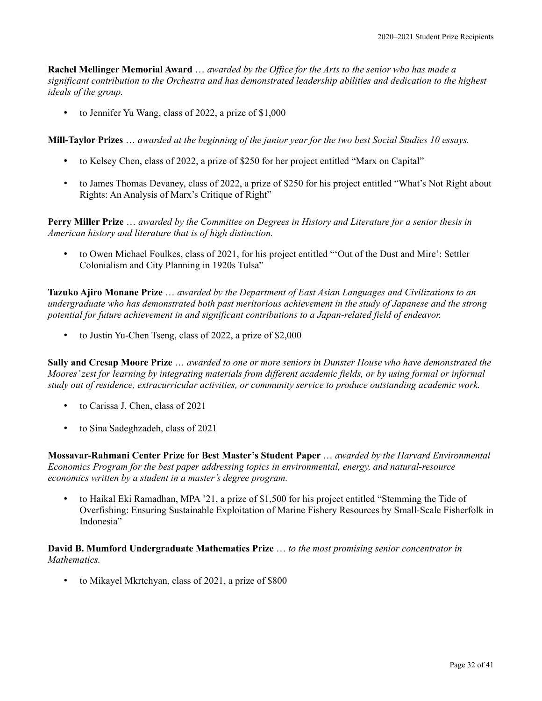**Rachel Mellinger Memorial Award** … *awarded by the Office for the Arts to the senior who has made a significant contribution to the Orchestra and has demonstrated leadership abilities and dedication to the highest ideals of the group.*

• to Jennifer Yu Wang, class of 2022, a prize of \$1,000

**Mill-Taylor Prizes** … *awarded at the beginning of the junior year for the two best Social Studies 10 essays.*

- to Kelsey Chen, class of 2022, a prize of \$250 for her project entitled "Marx on Capital"
- to James Thomas Devaney, class of 2022, a prize of \$250 for his project entitled "What's Not Right about Rights: An Analysis of Marx's Critique of Right"

**Perry Miller Prize** … *awarded by the Committee on Degrees in History and Literature for a senior thesis in American history and literature that is of high distinction.*

• to Owen Michael Foulkes, class of 2021, for his project entitled "'Out of the Dust and Mire': Settler Colonialism and City Planning in 1920s Tulsa"

**Tazuko Ajiro Monane Prize** … *awarded by the Department of East Asian Languages and Civilizations to an undergraduate who has demonstrated both past meritorious achievement in the study of Japanese and the strong potential for future achievement in and significant contributions to a Japan-related field of endeavor.*

• to Justin Yu-Chen Tseng, class of 2022, a prize of \$2,000

**Sally and Cresap Moore Prize** … *awarded to one or more seniors in Dunster House who have demonstrated the Moores' zest for learning by integrating materials from different academic fields, or by using formal or informal study out of residence, extracurricular activities, or community service to produce outstanding academic work.*

- to Carissa J. Chen, class of 2021
- to Sina Sadeghzadeh, class of 2021

**Mossavar-Rahmani Center Prize for Best Master's Student Paper** … *awarded by the Harvard Environmental Economics Program for the best paper addressing topics in environmental, energy, and natural-resource economics written by a student in a master's degree program.*

• to Haikal Eki Ramadhan, MPA '21, a prize of \$1,500 for his project entitled "Stemming the Tide of Overfishing: Ensuring Sustainable Exploitation of Marine Fishery Resources by Small-Scale Fisherfolk in Indonesia"

**David B. Mumford Undergraduate Mathematics Prize** … *to the most promising senior concentrator in Mathematics.*

• to Mikayel Mkrtchyan, class of 2021, a prize of \$800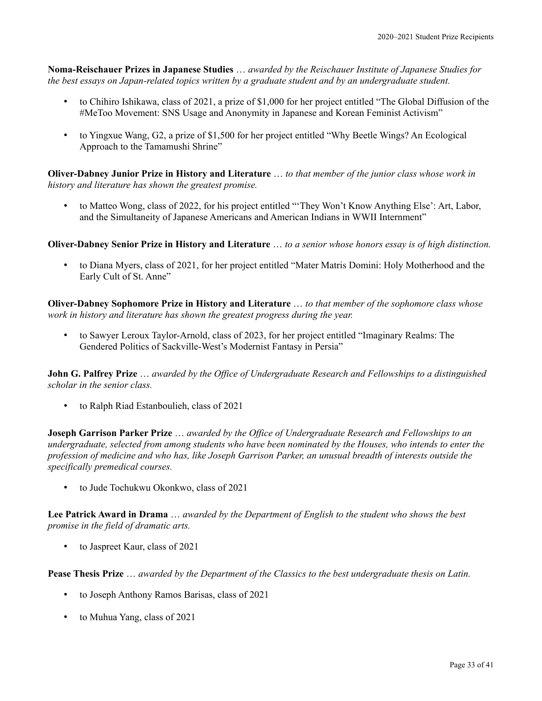**Noma-Reischauer Prizes in Japanese Studies** … *awarded by the Reischauer Institute of Japanese Studies for the best essays on Japan-related topics written by a graduate student and by an undergraduate student.*

- to Chihiro Ishikawa, class of 2021, a prize of \$1,000 for her project entitled "The Global Diffusion of the #MeToo Movement: SNS Usage and Anonymity in Japanese and Korean Feminist Activism"
- to Yingxue Wang, G2, a prize of \$1,500 for her project entitled "Why Beetle Wings? An Ecological Approach to the Tamamushi Shrine"

**Oliver-Dabney Junior Prize in History and Literature** … *to that member of the junior class whose work in history and literature has shown the greatest promise.*

• to Matteo Wong, class of 2022, for his project entitled "'They Won't Know Anything Else': Art, Labor, and the Simultaneity of Japanese Americans and American Indians in WWII Internment"

**Oliver-Dabney Senior Prize in History and Literature** … *to a senior whose honors essay is of high distinction.*

• to Diana Myers, class of 2021, for her project entitled "Mater Matris Domini: Holy Motherhood and the Early Cult of St. Anne"

**Oliver-Dabney Sophomore Prize in History and Literature** … *to that member of the sophomore class whose work in history and literature has shown the greatest progress during the year.*

• to Sawyer Leroux Taylor-Arnold, class of 2023, for her project entitled "Imaginary Realms: The Gendered Politics of Sackville-West's Modernist Fantasy in Persia"

**John G. Palfrey Prize** … *awarded by the Office of Undergraduate Research and Fellowships to a distinguished scholar in the senior class.*

• to Ralph Riad Estanboulieh, class of 2021

**Joseph Garrison Parker Prize** … *awarded by the Office of Undergraduate Research and Fellowships to an undergraduate, selected from among students who have been nominated by the Houses, who intends to enter the profession of medicine and who has, like Joseph Garrison Parker, an unusual breadth of interests outside the specifically premedical courses.*

• to Jude Tochukwu Okonkwo, class of 2021

**Lee Patrick Award in Drama** … *awarded by the Department of English to the student who shows the best promise in the field of dramatic arts.*

to Jaspreet Kaur, class of 2021

**Pease Thesis Prize** … *awarded by the Department of the Classics to the best undergraduate thesis on Latin.*

- to Joseph Anthony Ramos Barisas, class of 2021
- to Muhua Yang, class of 2021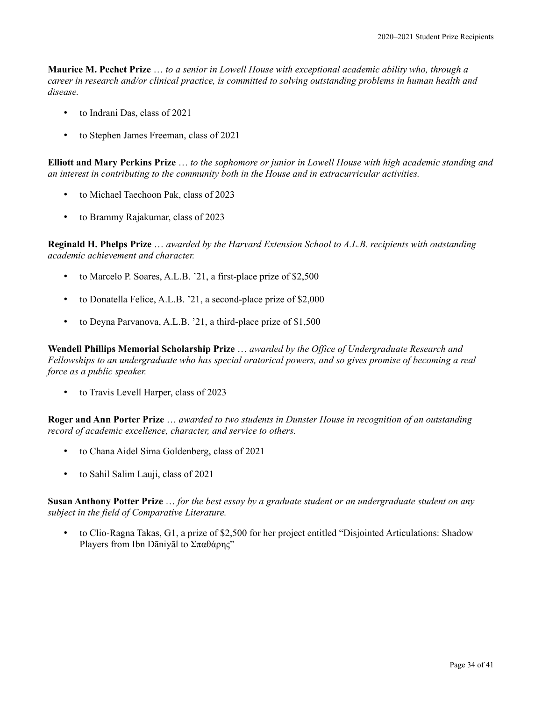**Maurice M. Pechet Prize** … *to a senior in Lowell House with exceptional academic ability who, through a career in research and/or clinical practice, is committed to solving outstanding problems in human health and disease.*

- to Indrani Das, class of 2021
- to Stephen James Freeman, class of 2021

**Elliott and Mary Perkins Prize** … *to the sophomore or junior in Lowell House with high academic standing and an interest in contributing to the community both in the House and in extracurricular activities.*

- to Michael Taechoon Pak, class of 2023
- to Brammy Rajakumar, class of 2023

**Reginald H. Phelps Prize** … *awarded by the Harvard Extension School to A.L.B. recipients with outstanding academic achievement and character.*

- to Marcelo P. Soares, A.L.B. '21, a first-place prize of \$2,500
- to Donatella Felice, A.L.B. '21, a second-place prize of \$2,000
- to Deyna Parvanova, A.L.B. '21, a third-place prize of \$1,500

**Wendell Phillips Memorial Scholarship Prize** … *awarded by the Office of Undergraduate Research and Fellowships to an undergraduate who has special oratorical powers, and so gives promise of becoming a real force as a public speaker.*

• to Travis Levell Harper, class of 2023

**Roger and Ann Porter Prize** … *awarded to two students in Dunster House in recognition of an outstanding record of academic excellence, character, and service to others.*

- to Chana Aidel Sima Goldenberg, class of 2021
- to Sahil Salim Lauji, class of 2021

**Susan Anthony Potter Prize** … *for the best essay by a graduate student or an undergraduate student on any subject in the field of Comparative Literature.*

• to Clio-Ragna Takas, G1, a prize of \$2,500 for her project entitled "Disjointed Articulations: Shadow Players from Ibn Dāniyāl to Σπαθάρης"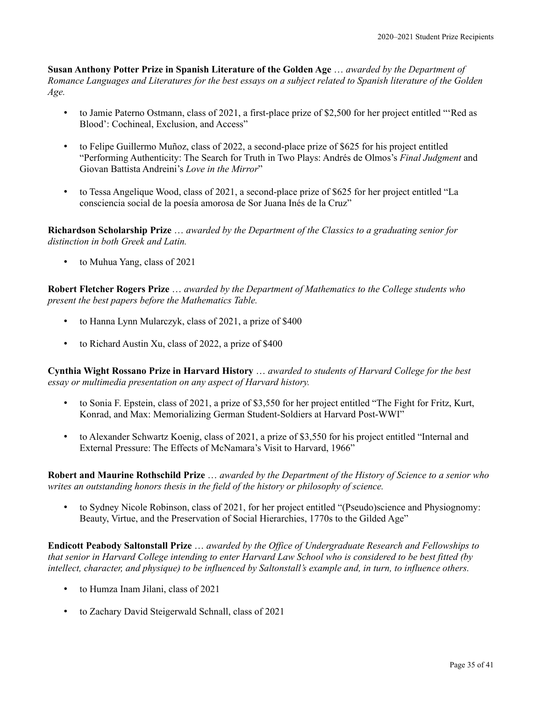**Susan Anthony Potter Prize in Spanish Literature of the Golden Age** … *awarded by the Department of Romance Languages and Literatures for the best essays on a subject related to Spanish literature of the Golden Age.*

- to Jamie Paterno Ostmann, class of 2021, a first-place prize of \$2,500 for her project entitled "'Red as Blood': Cochineal, Exclusion, and Access"
- to Felipe Guillermo Muñoz, class of 2022, a second-place prize of \$625 for his project entitled "Performing Authenticity: The Search for Truth in Two Plays: Andrés de Olmos's *Final Judgment* and Giovan Battista Andreini's *Love in the Mirror*"
- to Tessa Angelique Wood, class of 2021, a second-place prize of \$625 for her project entitled "La consciencia social de la poesía amorosa de Sor Juana Inés de la Cruz"

**Richardson Scholarship Prize** … *awarded by the Department of the Classics to a graduating senior for distinction in both Greek and Latin.*

• to Muhua Yang, class of 2021

**Robert Fletcher Rogers Prize** … *awarded by the Department of Mathematics to the College students who present the best papers before the Mathematics Table.*

- to Hanna Lynn Mularczyk, class of 2021, a prize of \$400
- to Richard Austin Xu, class of 2022, a prize of \$400

**Cynthia Wight Rossano Prize in Harvard History** … *awarded to students of Harvard College for the best essay or multimedia presentation on any aspect of Harvard history.*

- to Sonia F. Epstein, class of 2021, a prize of \$3,550 for her project entitled "The Fight for Fritz, Kurt, Konrad, and Max: Memorializing German Student-Soldiers at Harvard Post-WWI"
- to Alexander Schwartz Koenig, class of 2021, a prize of \$3,550 for his project entitled "Internal and External Pressure: The Effects of McNamara's Visit to Harvard, 1966"

**Robert and Maurine Rothschild Prize** … *awarded by the Department of the History of Science to a senior who writes an outstanding honors thesis in the field of the history or philosophy of science.*

• to Sydney Nicole Robinson, class of 2021, for her project entitled "(Pseudo)science and Physiognomy: Beauty, Virtue, and the Preservation of Social Hierarchies, 1770s to the Gilded Age"

**Endicott Peabody Saltonstall Prize** … *awarded by the Office of Undergraduate Research and Fellowships to that senior in Harvard College intending to enter Harvard Law School who is considered to be best fitted (by intellect, character, and physique) to be influenced by Saltonstall's example and, in turn, to influence others.*

- to Humza Inam Jilani, class of 2021
- to Zachary David Steigerwald Schnall, class of 2021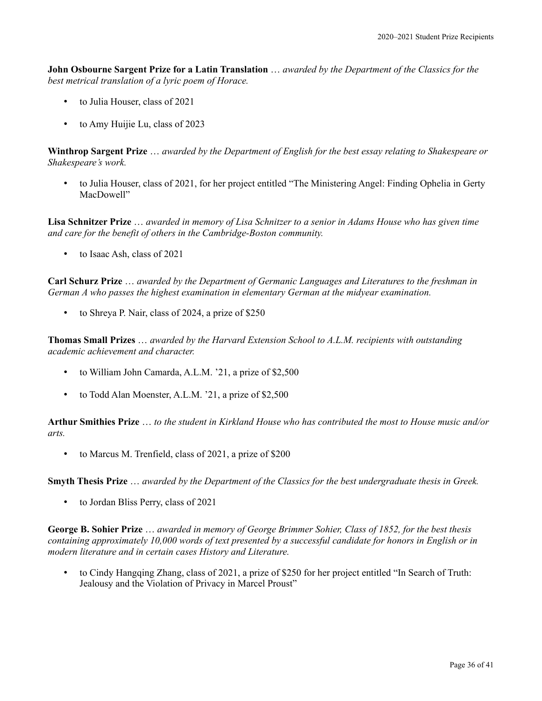**John Osbourne Sargent Prize for a Latin Translation** … *awarded by the Department of the Classics for the best metrical translation of a lyric poem of Horace.*

- to Julia Houser, class of 2021
- to Amy Huijie Lu, class of 2023

**Winthrop Sargent Prize** … *awarded by the Department of English for the best essay relating to Shakespeare or Shakespeare's work.*

• to Julia Houser, class of 2021, for her project entitled "The Ministering Angel: Finding Ophelia in Gerty MacDowell"

**Lisa Schnitzer Prize** … *awarded in memory of Lisa Schnitzer to a senior in Adams House who has given time and care for the benefit of others in the Cambridge-Boston community.*

• to Isaac Ash, class of 2021

**Carl Schurz Prize** … *awarded by the Department of Germanic Languages and Literatures to the freshman in German A who passes the highest examination in elementary German at the midyear examination.*

• to Shreya P. Nair, class of 2024, a prize of \$250

**Thomas Small Prizes** … *awarded by the Harvard Extension School to A.L.M. recipients with outstanding academic achievement and character.*

- to William John Camarda, A.L.M. '21, a prize of \$2,500
- to Todd Alan Moenster, A.L.M. '21, a prize of \$2,500

**Arthur Smithies Prize** … *to the student in Kirkland House who has contributed the most to House music and/or arts.*

• to Marcus M. Trenfield, class of 2021, a prize of \$200

**Smyth Thesis Prize** … *awarded by the Department of the Classics for the best undergraduate thesis in Greek.*

• to Jordan Bliss Perry, class of 2021

**George B. Sohier Prize** … *awarded in memory of George Brimmer Sohier, Class of 1852, for the best thesis containing approximately 10,000 words of text presented by a successful candidate for honors in English or in modern literature and in certain cases History and Literature.*

• to Cindy Hangqing Zhang, class of 2021, a prize of \$250 for her project entitled "In Search of Truth: Jealousy and the Violation of Privacy in Marcel Proust"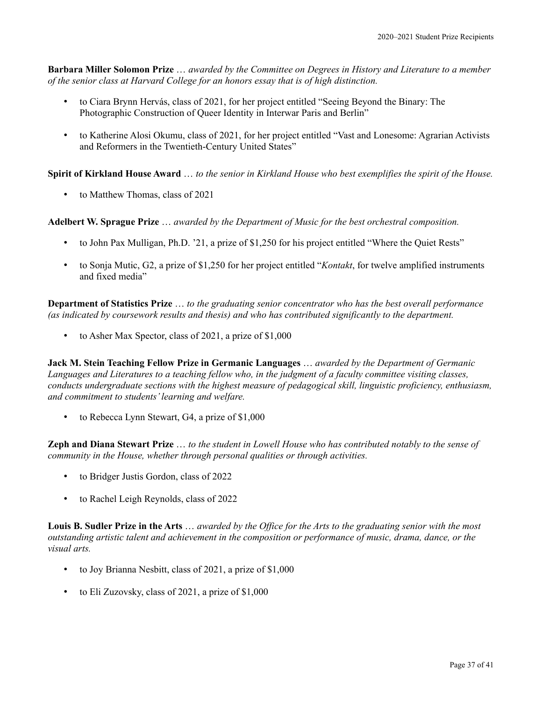**Barbara Miller Solomon Prize** … *awarded by the Committee on Degrees in History and Literature to a member of the senior class at Harvard College for an honors essay that is of high distinction.*

- to Ciara Brynn Hervás, class of 2021, for her project entitled "Seeing Beyond the Binary: The Photographic Construction of Queer Identity in Interwar Paris and Berlin"
- to Katherine Alosi Okumu, class of 2021, for her project entitled "Vast and Lonesome: Agrarian Activists and Reformers in the Twentieth-Century United States"

**Spirit of Kirkland House Award** … *to the senior in Kirkland House who best exemplifies the spirit of the House.*

• to Matthew Thomas, class of 2021

**Adelbert W. Sprague Prize** … *awarded by the Department of Music for the best orchestral composition.*

- to John Pax Mulligan, Ph.D. '21, a prize of \$1,250 for his project entitled "Where the Quiet Rests"
- to Sonja Mutic, G2, a prize of \$1,250 for her project entitled "*Kontakt*, for twelve amplified instruments and fixed media"

**Department of Statistics Prize** … *to the graduating senior concentrator who has the best overall performance (as indicated by coursework results and thesis) and who has contributed significantly to the department.*

• to Asher Max Spector, class of 2021, a prize of \$1,000

**Jack M. Stein Teaching Fellow Prize in Germanic Languages** … *awarded by the Department of Germanic Languages and Literatures to a teaching fellow who, in the judgment of a faculty committee visiting classes, conducts undergraduate sections with the highest measure of pedagogical skill, linguistic proficiency, enthusiasm, and commitment to students' learning and welfare.*

• to Rebecca Lynn Stewart, G4, a prize of \$1,000

**Zeph and Diana Stewart Prize** … *to the student in Lowell House who has contributed notably to the sense of community in the House, whether through personal qualities or through activities.*

- to Bridger Justis Gordon, class of 2022
- to Rachel Leigh Reynolds, class of 2022

**Louis B. Sudler Prize in the Arts** … *awarded by the Office for the Arts to the graduating senior with the most outstanding artistic talent and achievement in the composition or performance of music, drama, dance, or the visual arts.*

- to Joy Brianna Nesbitt, class of 2021, a prize of \$1,000
- to Eli Zuzovsky, class of 2021, a prize of \$1,000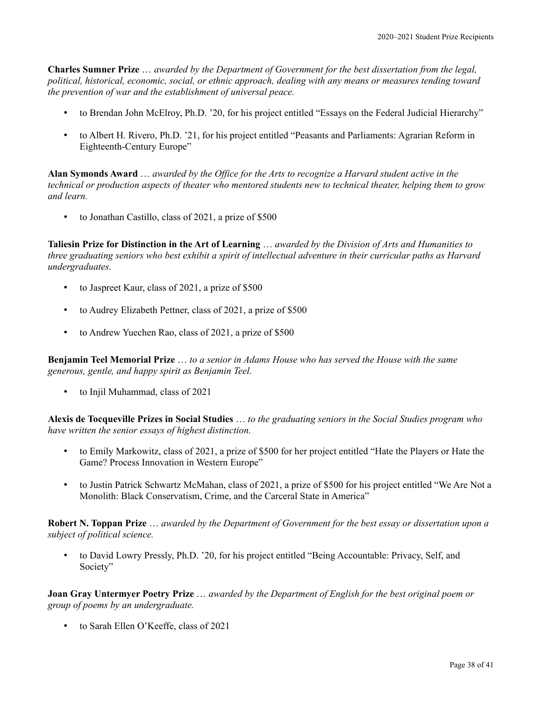**Charles Sumner Prize** … *awarded by the Department of Government for the best dissertation from the legal, political, historical, economic, social, or ethnic approach, dealing with any means or measures tending toward the prevention of war and the establishment of universal peace.*

- to Brendan John McElroy, Ph.D. '20, for his project entitled "Essays on the Federal Judicial Hierarchy"
- to Albert H. Rivero, Ph.D. '21, for his project entitled "Peasants and Parliaments: Agrarian Reform in Eighteenth-Century Europe"

**Alan Symonds Award** … *awarded by the Office for the Arts to recognize a Harvard student active in the technical or production aspects of theater who mentored students new to technical theater, helping them to grow and learn.*

• to Jonathan Castillo, class of 2021, a prize of \$500

**Taliesin Prize for Distinction in the Art of Learning** … *awarded by the Division of Arts and Humanities to three graduating seniors who best exhibit a spirit of intellectual adventure in their curricular paths as Harvard undergraduates.*

- to Jaspreet Kaur, class of 2021, a prize of \$500
- to Audrey Elizabeth Pettner, class of 2021, a prize of \$500
- to Andrew Yuechen Rao, class of 2021, a prize of \$500

**Benjamin Teel Memorial Prize** … *to a senior in Adams House who has served the House with the same generous, gentle, and happy spirit as Benjamin Teel.*

• to Injil Muhammad, class of 2021

**Alexis de Tocqueville Prizes in Social Studies** … *to the graduating seniors in the Social Studies program who have written the senior essays of highest distinction.*

- to Emily Markowitz, class of 2021, a prize of \$500 for her project entitled "Hate the Players or Hate the Game? Process Innovation in Western Europe"
- to Justin Patrick Schwartz McMahan, class of 2021, a prize of \$500 for his project entitled "We Are Not a Monolith: Black Conservatism, Crime, and the Carceral State in America"

**Robert N. Toppan Prize** … *awarded by the Department of Government for the best essay or dissertation upon a subject of political science.*

• to David Lowry Pressly, Ph.D. '20, for his project entitled "Being Accountable: Privacy, Self, and Society"

**Joan Gray Untermyer Poetry Prize** … *awarded by the Department of English for the best original poem or group of poems by an undergraduate.*

• to Sarah Ellen O'Keeffe, class of 2021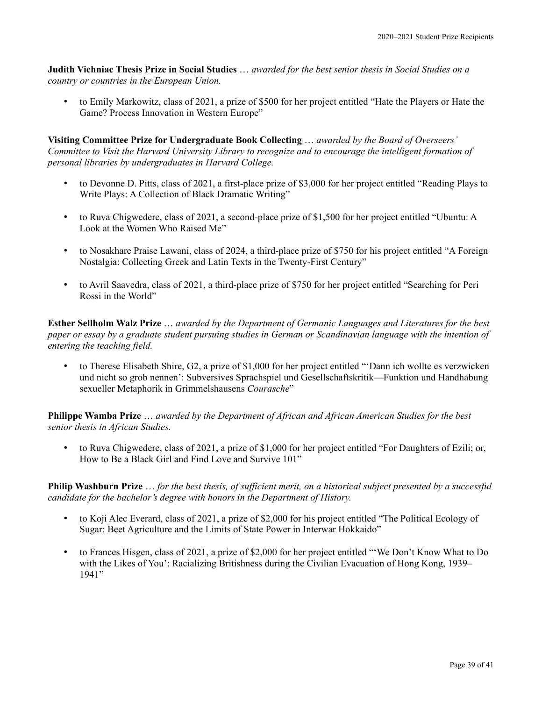**Judith Vichniac Thesis Prize in Social Studies** … *awarded for the best senior thesis in Social Studies on a country or countries in the European Union.*

• to Emily Markowitz, class of 2021, a prize of \$500 for her project entitled "Hate the Players or Hate the Game? Process Innovation in Western Europe"

**Visiting Committee Prize for Undergraduate Book Collecting** … *awarded by the Board of Overseers' Committee to Visit the Harvard University Library to recognize and to encourage the intelligent formation of personal libraries by undergraduates in Harvard College.*

- to Devonne D. Pitts, class of 2021, a first-place prize of \$3,000 for her project entitled "Reading Plays to Write Plays: A Collection of Black Dramatic Writing"
- to Ruva Chigwedere, class of 2021, a second-place prize of \$1,500 for her project entitled "Ubuntu: A Look at the Women Who Raised Me"
- to Nosakhare Praise Lawani, class of 2024, a third-place prize of \$750 for his project entitled "A Foreign Nostalgia: Collecting Greek and Latin Texts in the Twenty-First Century"
- to Avril Saavedra, class of 2021, a third-place prize of \$750 for her project entitled "Searching for Peri Rossi in the World"

**Esther Sellholm Walz Prize** … *awarded by the Department of Germanic Languages and Literatures for the best paper or essay by a graduate student pursuing studies in German or Scandinavian language with the intention of entering the teaching field.*

• to Therese Elisabeth Shire, G2, a prize of \$1,000 for her project entitled "'Dann ich wollte es verzwicken und nicht so grob nennen': Subversives Sprachspiel und Gesellschaftskritik—Funktion und Handhabung sexueller Metaphorik in Grimmelshausens *Courasche*"

**Philippe Wamba Prize** … *awarded by the Department of African and African American Studies for the best senior thesis in African Studies.*

• to Ruva Chigwedere, class of 2021, a prize of \$1,000 for her project entitled "For Daughters of Ezili; or, How to Be a Black Girl and Find Love and Survive 101"

**Philip Washburn Prize** … *for the best thesis, of sufficient merit, on a historical subject presented by a successful candidate for the bachelor's degree with honors in the Department of History.*

- to Koji Alec Everard, class of 2021, a prize of \$2,000 for his project entitled "The Political Ecology of Sugar: Beet Agriculture and the Limits of State Power in Interwar Hokkaido"
- to Frances Hisgen, class of 2021, a prize of \$2,000 for her project entitled "'We Don't Know What to Do with the Likes of You': Racializing Britishness during the Civilian Evacuation of Hong Kong, 1939– 1941"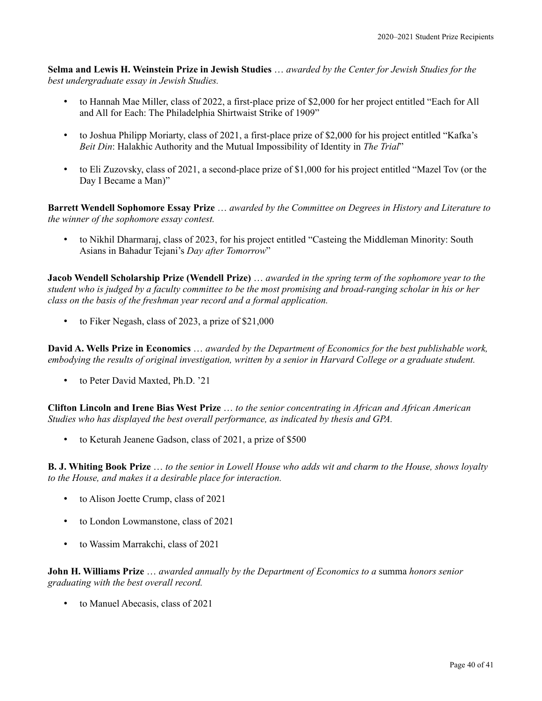**Selma and Lewis H. Weinstein Prize in Jewish Studies** … *awarded by the Center for Jewish Studies for the best undergraduate essay in Jewish Studies.*

- to Hannah Mae Miller, class of 2022, a first-place prize of \$2,000 for her project entitled "Each for All and All for Each: The Philadelphia Shirtwaist Strike of 1909"
- to Joshua Philipp Moriarty, class of 2021, a first-place prize of \$2,000 for his project entitled "Kafka's *Beit Din*: Halakhic Authority and the Mutual Impossibility of Identity in *The Trial*"
- to Eli Zuzovsky, class of 2021, a second-place prize of \$1,000 for his project entitled "Mazel Tov (or the Day I Became a Man)"

**Barrett Wendell Sophomore Essay Prize** … *awarded by the Committee on Degrees in History and Literature to the winner of the sophomore essay contest.*

• to Nikhil Dharmaraj, class of 2023, for his project entitled "Casteing the Middleman Minority: South Asians in Bahadur Tejani's *Day after Tomorrow*"

**Jacob Wendell Scholarship Prize (Wendell Prize)** … *awarded in the spring term of the sophomore year to the student who is judged by a faculty committee to be the most promising and broad-ranging scholar in his or her class on the basis of the freshman year record and a formal application.*

• to Fiker Negash, class of 2023, a prize of \$21,000

**David A. Wells Prize in Economics** … *awarded by the Department of Economics for the best publishable work, embodying the results of original investigation, written by a senior in Harvard College or a graduate student.*

• to Peter David Maxted, Ph.D. '21

**Clifton Lincoln and Irene Bias West Prize** … *to the senior concentrating in African and African American Studies who has displayed the best overall performance, as indicated by thesis and GPA.*

• to Keturah Jeanene Gadson, class of 2021, a prize of \$500

**B. J. Whiting Book Prize** … *to the senior in Lowell House who adds wit and charm to the House, shows loyalty to the House, and makes it a desirable place for interaction.*

- to Alison Joette Crump, class of 2021
- to London Lowmanstone, class of 2021
- to Wassim Marrakchi, class of 2021

**John H. Williams Prize** … *awarded annually by the Department of Economics to a* summa *honors senior graduating with the best overall record.*

• to Manuel Abecasis, class of 2021